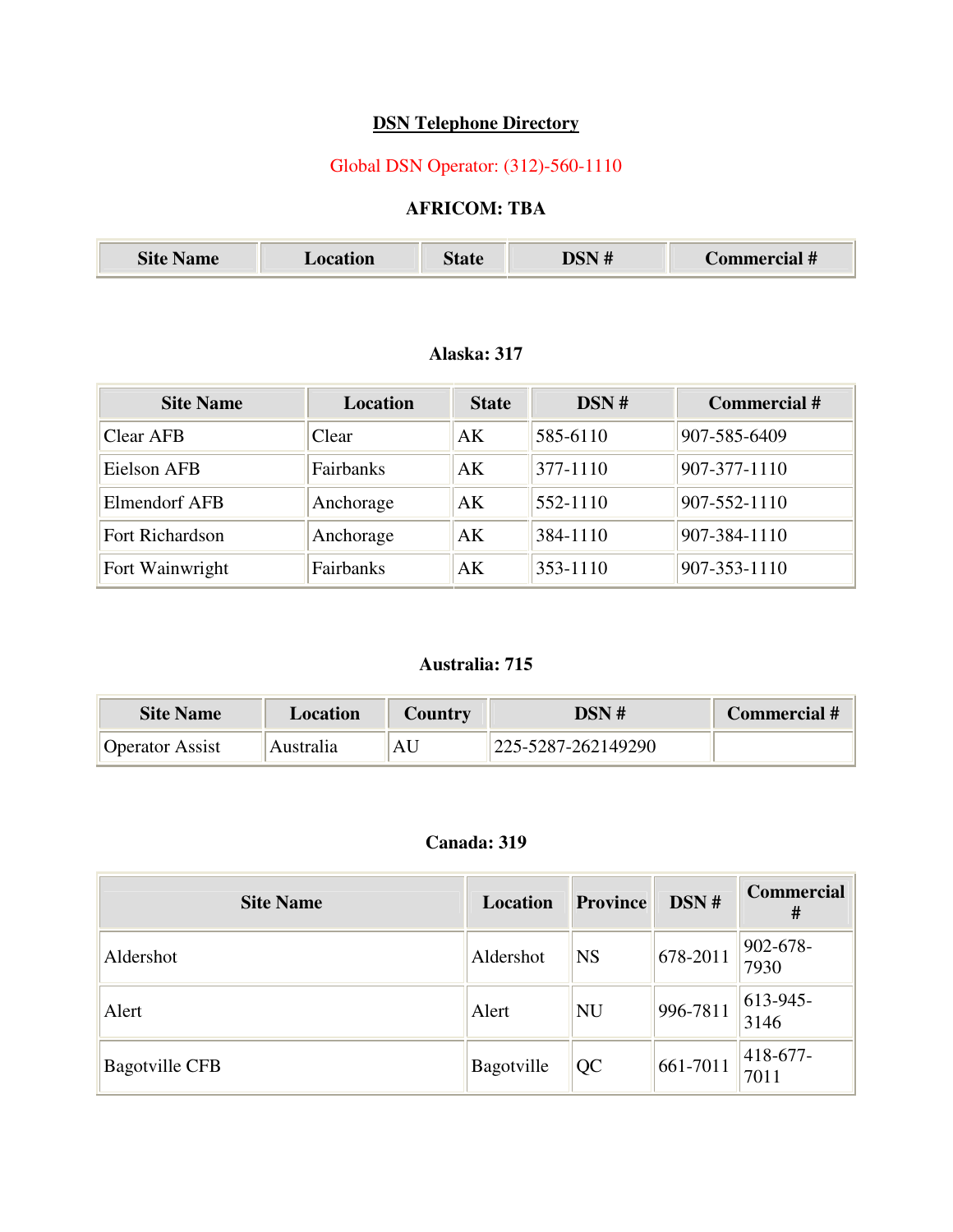## **DSN Telephone Directory**

# Global DSN Operator: (312)-560-1110

### **AFRICOM: TBA**

| 72.<br>$\sim$ $-$<br>мие<br>UП | $\cup$ iaic | - 77 | лат п |
|--------------------------------|-------------|------|-------|
|--------------------------------|-------------|------|-------|

#### **Alaska: 317**

| <b>Site Name</b>     | <b>Location</b> | <b>State</b> | DSN#     | <b>Commercial #</b> |
|----------------------|-----------------|--------------|----------|---------------------|
| Clear AFB            | Clear           | AK           | 585-6110 | 907-585-6409        |
| Eielson AFB          | Fairbanks       | AK           | 377-1110 | 907-377-1110        |
| <b>Elmendorf AFB</b> | Anchorage       | AK           | 552-1110 | 907-552-1110        |
| Fort Richardson      | Anchorage       | AK           | 384-1110 | 907-384-1110        |
| Fort Wainwright      | Fairbanks       | AK           | 353-1110 | 907-353-1110        |

#### **Australia: 715**

| <b>Site Name</b>       | Location  | Country | DSN #              | Commercial # |
|------------------------|-----------|---------|--------------------|--------------|
| <b>Operator Assist</b> | Australia | AU      | 225-5287-262149290 |              |

#### **Canada: 319**

| <b>Site Name</b>      | Location   | Province  | DSN#           | <b>Commercial</b><br># |
|-----------------------|------------|-----------|----------------|------------------------|
| Aldershot             | Aldershot  | <b>NS</b> | $ 678 - 2011 $ | $ 902 - 678 -$<br>7930 |
| Alert                 | Alert      | NU        | 996-7811       | $ 613-945-$<br>3146    |
| <b>Bagotville CFB</b> | Bagotville | QC        | 661-7011       | $ 418-677-$<br>7011    |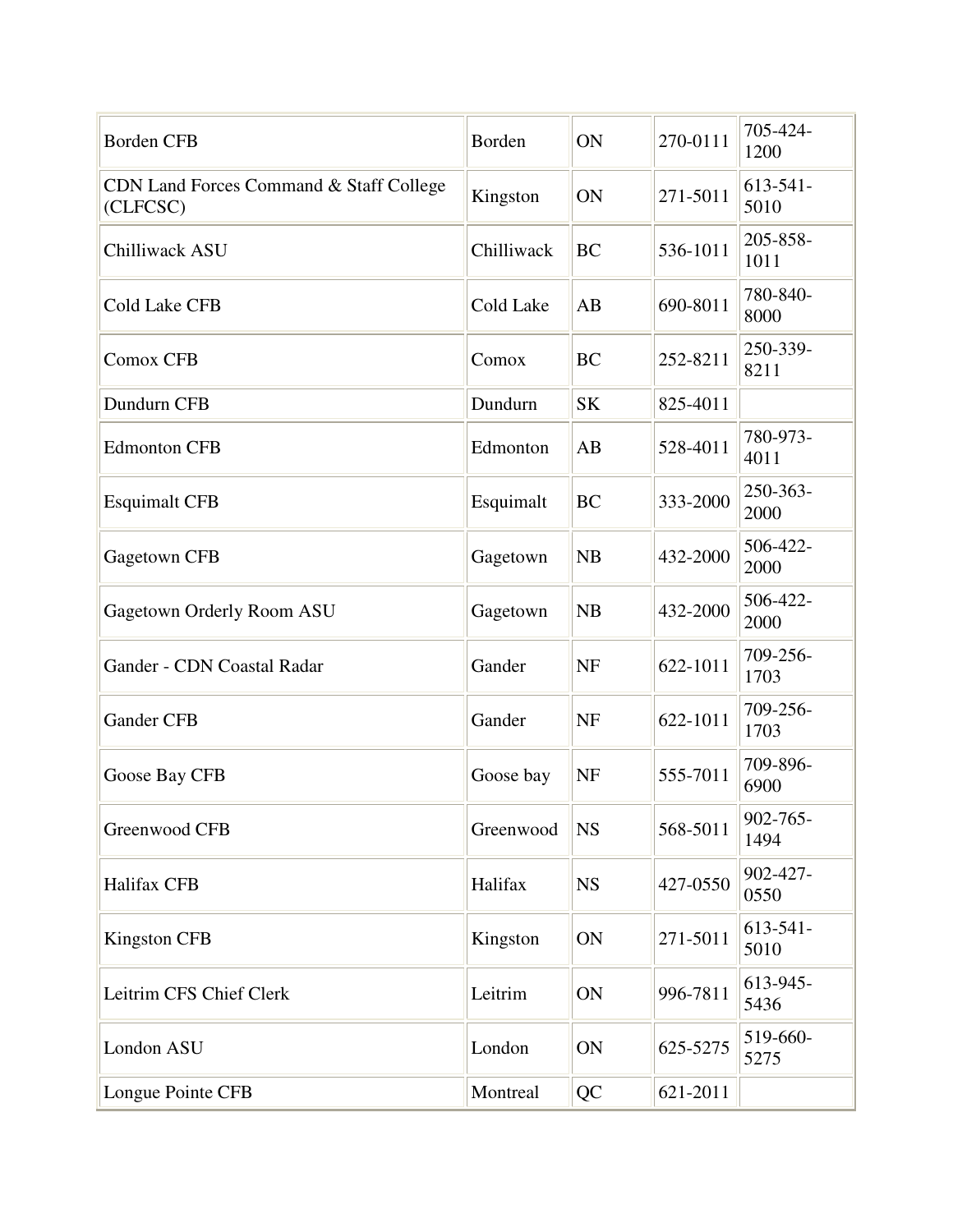| <b>Borden CFB</b>                                   | Borden     | ON        | 270-0111 | 705-424-<br>1200      |
|-----------------------------------------------------|------------|-----------|----------|-----------------------|
| CDN Land Forces Command & Staff College<br>(CLFCSC) | Kingston   | ON        | 271-5011 | $613 - 541 -$<br>5010 |
| Chilliwack ASU                                      | Chilliwack | <b>BC</b> | 536-1011 | 205-858-<br>1011      |
| <b>Cold Lake CFB</b>                                | Cold Lake  | AB        | 690-8011 | 780-840-<br>8000      |
| <b>Comox CFB</b>                                    | Comox      | <b>BC</b> | 252-8211 | 250-339-<br>8211      |
| Dundurn CFB                                         | Dundurn    | <b>SK</b> | 825-4011 |                       |
| <b>Edmonton CFB</b>                                 | Edmonton   | AB        | 528-4011 | 780-973-<br>4011      |
| <b>Esquimalt CFB</b>                                | Esquimalt  | <b>BC</b> | 333-2000 | 250-363-<br>2000      |
| Gagetown CFB                                        | Gagetown   | <b>NB</b> | 432-2000 | 506-422-<br>2000      |
| Gagetown Orderly Room ASU                           | Gagetown   | <b>NB</b> | 432-2000 | 506-422-<br>2000      |
| Gander - CDN Coastal Radar                          | Gander     | <b>NF</b> | 622-1011 | 709-256-<br>1703      |
| <b>Gander CFB</b>                                   | Gander     | <b>NF</b> | 622-1011 | 709-256-<br>1703      |
| Goose Bay CFB                                       | Goose bay  | <b>NF</b> | 555-7011 | 709-896-<br>6900      |
| Greenwood CFB                                       | Greenwood  | <b>NS</b> | 568-5011 | 902-765-<br>1494      |
| Halifax CFB                                         | Halifax    | <b>NS</b> | 427-0550 | 902-427-<br>0550      |
| <b>Kingston CFB</b>                                 | Kingston   | ON        | 271-5011 | $613 - 541 -$<br>5010 |
| Leitrim CFS Chief Clerk                             | Leitrim    | ON        | 996-7811 | 613-945-<br>5436      |
| London ASU                                          | London     | ON        | 625-5275 | 519-660-<br>5275      |
| Longue Pointe CFB                                   | Montreal   | QC        | 621-2011 |                       |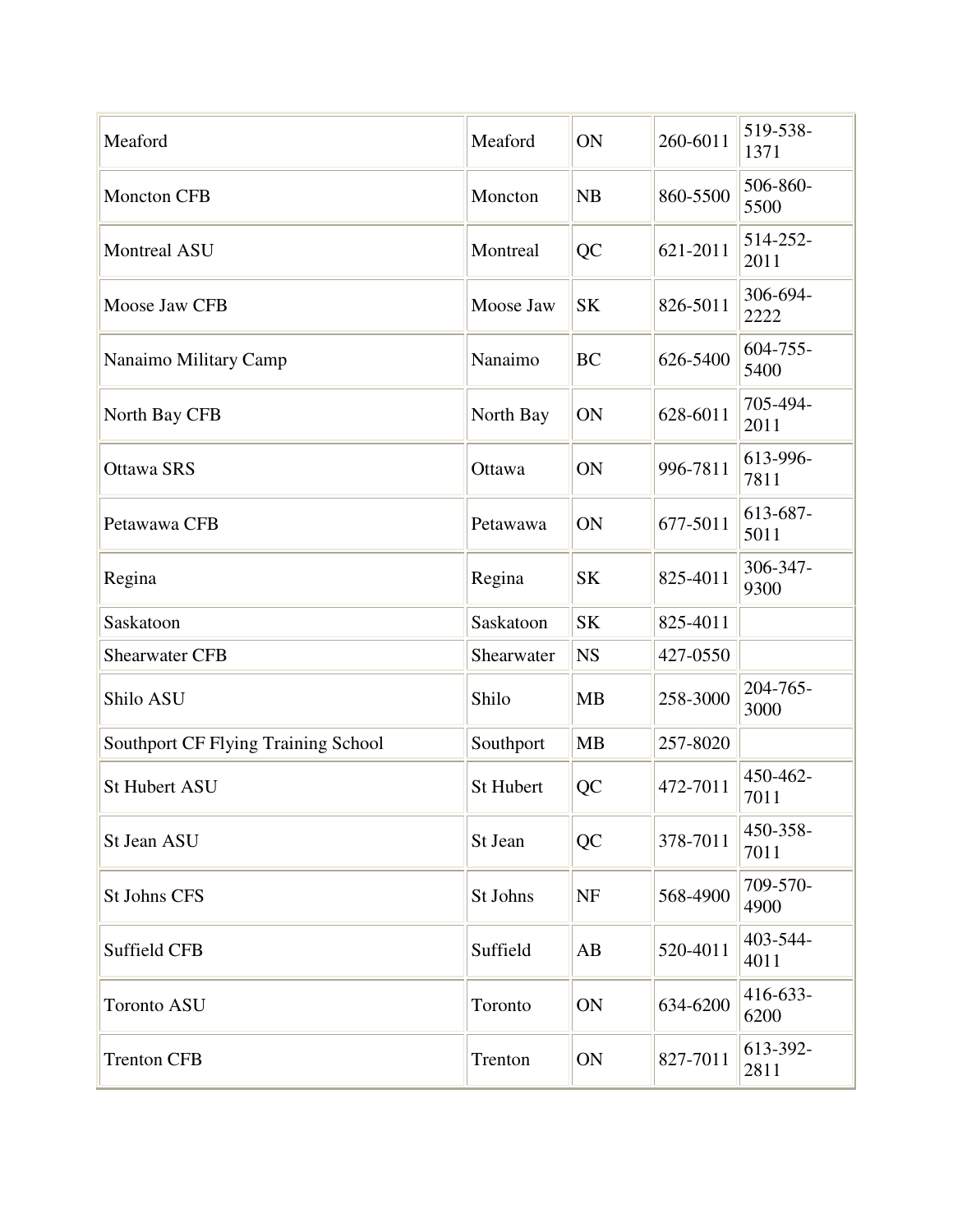| Meaford                                    | Meaford    | ON        | 260-6011 | 519-538-<br>1371      |
|--------------------------------------------|------------|-----------|----------|-----------------------|
| <b>Moncton CFB</b>                         | Moncton    | <b>NB</b> | 860-5500 | 506-860-<br>5500      |
| <b>Montreal ASU</b>                        | Montreal   | QC        | 621-2011 | 514-252-<br>2011      |
| Moose Jaw CFB                              | Moose Jaw  | <b>SK</b> | 826-5011 | 306-694-<br>2222      |
| Nanaimo Military Camp                      | Nanaimo    | <b>BC</b> | 626-5400 | $604 - 755$ -<br>5400 |
| North Bay CFB                              | North Bay  | ON        | 628-6011 | 705-494-<br>2011      |
| <b>Ottawa SRS</b>                          | Ottawa     | ON        | 996-7811 | 613-996-<br>7811      |
| Petawawa CFB                               | Petawawa   | ON        | 677-5011 | 613-687-<br>5011      |
| Regina                                     | Regina     | <b>SK</b> | 825-4011 | 306-347-<br>9300      |
| Saskatoon                                  | Saskatoon  | <b>SK</b> | 825-4011 |                       |
| <b>Shearwater CFB</b>                      | Shearwater | <b>NS</b> | 427-0550 |                       |
| Shilo ASU                                  | Shilo      | <b>MB</b> | 258-3000 | 204-765-<br>3000      |
| <b>Southport CF Flying Training School</b> | Southport  | <b>MB</b> | 257-8020 |                       |
| <b>St Hubert ASU</b>                       | St Hubert  | <b>QC</b> | 472-7011 | 450-462-<br>7011      |
| St Jean ASU                                | St Jean    | QC        | 378-7011 | 450-358-<br>7011      |
| <b>St Johns CFS</b>                        | St Johns   | <b>NF</b> | 568-4900 | 709-570-<br>4900      |
| Suffield CFB                               | Suffield   | AB        | 520-4011 | 403-544-<br>4011      |
| <b>Toronto ASU</b>                         | Toronto    | ON        | 634-6200 | 416-633-<br>6200      |
| <b>Trenton CFB</b>                         | Trenton    | ON        | 827-7011 | 613-392-<br>2811      |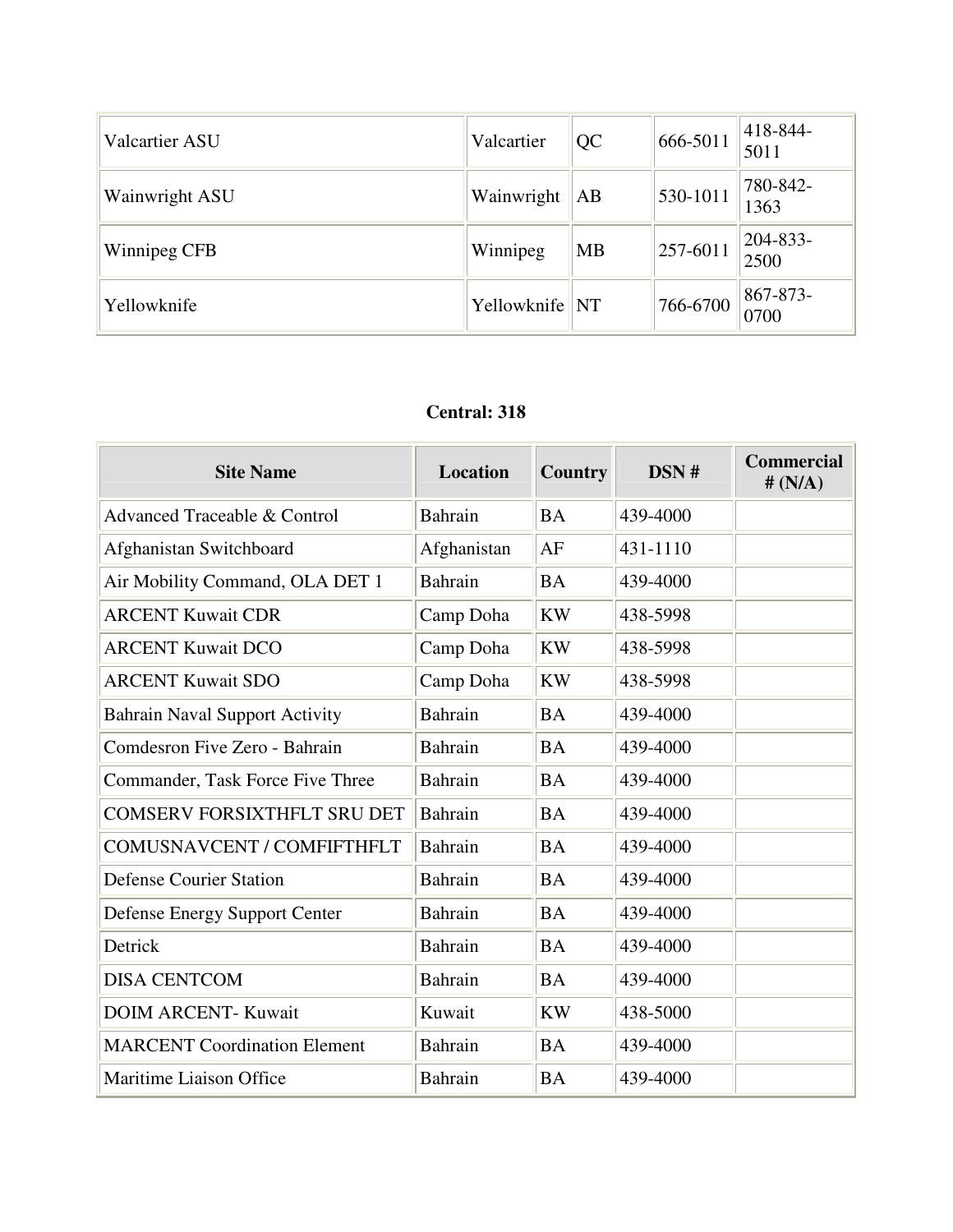| <b>Valcartier ASU</b> | Valcartier     | QC        | 666-5011 | 418-844-<br>5011      |
|-----------------------|----------------|-----------|----------|-----------------------|
| Wainwright ASU        | Wainwright     | AB        | 530-1011 | 780-842-<br>1363      |
| Winnipeg CFB          | Winnipeg       | <b>MB</b> | 257-6011 | $204 - 833 -$<br>2500 |
| Yellowknife           | Yellowknife NT |           | 766-6700 | 867-873-<br>0700      |

#### **Central: 318**

| <b>Site Name</b>                        | Location       | <b>Country</b> | DSN#     | <b>Commercial</b><br># $(N/A)$ |
|-----------------------------------------|----------------|----------------|----------|--------------------------------|
| <b>Advanced Traceable &amp; Control</b> | <b>Bahrain</b> | <b>BA</b>      | 439-4000 |                                |
| Afghanistan Switchboard                 | Afghanistan    | AF             | 431-1110 |                                |
| Air Mobility Command, OLA DET 1         | <b>Bahrain</b> | <b>BA</b>      | 439-4000 |                                |
| <b>ARCENT Kuwait CDR</b>                | Camp Doha      | <b>KW</b>      | 438-5998 |                                |
| <b>ARCENT Kuwait DCO</b>                | Camp Doha      | <b>KW</b>      | 438-5998 |                                |
| <b>ARCENT Kuwait SDO</b>                | Camp Doha      | <b>KW</b>      | 438-5998 |                                |
| <b>Bahrain Naval Support Activity</b>   | <b>Bahrain</b> | <b>BA</b>      | 439-4000 |                                |
| Comdesron Five Zero - Bahrain           | <b>Bahrain</b> | <b>BA</b>      | 439-4000 |                                |
| Commander, Task Force Five Three        | <b>Bahrain</b> | <b>BA</b>      | 439-4000 |                                |
| <b>COMSERV FORSIXTHFLT SRU DET</b>      | Bahrain        | <b>BA</b>      | 439-4000 |                                |
| COMUSNAVCENT / COMFIFTHFLT              | <b>Bahrain</b> | <b>BA</b>      | 439-4000 |                                |
| <b>Defense Courier Station</b>          | <b>Bahrain</b> | <b>BA</b>      | 439-4000 |                                |
| Defense Energy Support Center           | <b>Bahrain</b> | <b>BA</b>      | 439-4000 |                                |
| Detrick                                 | <b>Bahrain</b> | <b>BA</b>      | 439-4000 |                                |
| <b>DISA CENTCOM</b>                     | <b>Bahrain</b> | <b>BA</b>      | 439-4000 |                                |
| <b>DOIM ARCENT- Kuwait</b>              | Kuwait         | <b>KW</b>      | 438-5000 |                                |
| <b>MARCENT Coordination Element</b>     | <b>Bahrain</b> | <b>BA</b>      | 439-4000 |                                |
| Maritime Liaison Office                 | <b>Bahrain</b> | <b>BA</b>      | 439-4000 |                                |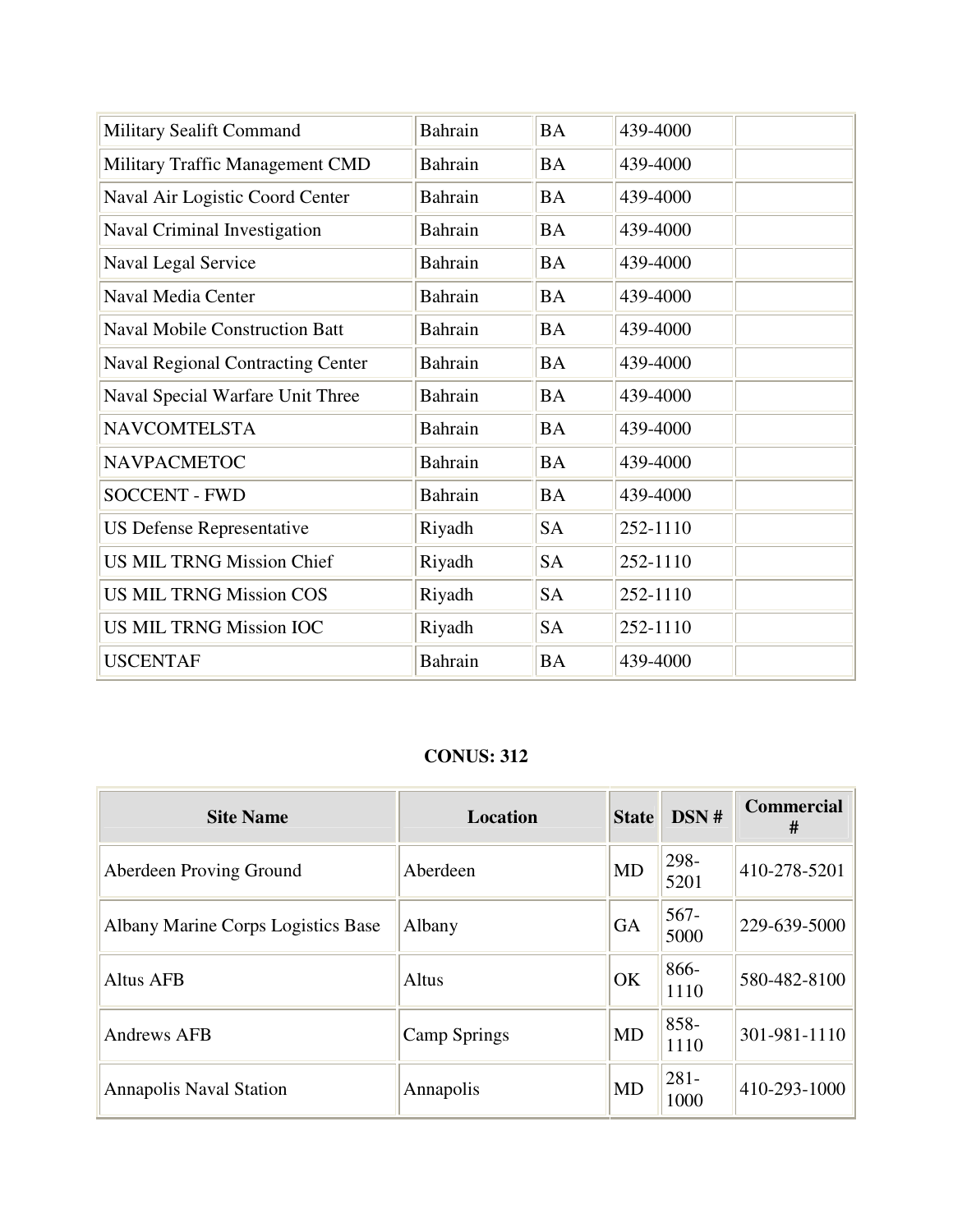| <b>Military Sealift Command</b>          | Bahrain        | <b>BA</b> | 439-4000 |
|------------------------------------------|----------------|-----------|----------|
| Military Traffic Management CMD          | Bahrain        | <b>BA</b> | 439-4000 |
| Naval Air Logistic Coord Center          | Bahrain        | <b>BA</b> | 439-4000 |
| Naval Criminal Investigation             | Bahrain        | <b>BA</b> | 439-4000 |
| Naval Legal Service                      | <b>Bahrain</b> | <b>BA</b> | 439-4000 |
| Naval Media Center                       | <b>Bahrain</b> | <b>BA</b> | 439-4000 |
| <b>Naval Mobile Construction Batt</b>    | Bahrain        | <b>BA</b> | 439-4000 |
| <b>Naval Regional Contracting Center</b> | <b>Bahrain</b> | <b>BA</b> | 439-4000 |
| Naval Special Warfare Unit Three         | Bahrain        | <b>BA</b> | 439-4000 |
| <b>NAVCOMTELSTA</b>                      | Bahrain        | <b>BA</b> | 439-4000 |
| <b>NAVPACMETOC</b>                       | <b>Bahrain</b> | <b>BA</b> | 439-4000 |
| <b>SOCCENT - FWD</b>                     | Bahrain        | <b>BA</b> | 439-4000 |
| <b>US Defense Representative</b>         | Riyadh         | <b>SA</b> | 252-1110 |
| <b>US MIL TRNG Mission Chief</b>         | Riyadh         | <b>SA</b> | 252-1110 |
| <b>US MIL TRNG Mission COS</b>           | Riyadh         | <b>SA</b> | 252-1110 |
| <b>US MIL TRNG Mission IOC</b>           | Riyadh         | <b>SA</b> | 252-1110 |
| <b>USCENTAF</b>                          | Bahrain        | <b>BA</b> | 439-4000 |

#### **CONUS: 312**

| <b>Site Name</b>                   | <b>Location</b>     | <b>State</b> | DSN#            | <b>Commercial</b><br># |
|------------------------------------|---------------------|--------------|-----------------|------------------------|
| Aberdeen Proving Ground            | Aberdeen            | <b>MD</b>    | 298-<br>5201    | 410-278-5201           |
| Albany Marine Corps Logistics Base | Albany              | <b>GA</b>    | $567 -$<br>5000 | 229-639-5000           |
| Altus AFB                          | Altus               | OK           | 866-<br>1110    | 580-482-8100           |
| Andrews AFB                        | <b>Camp Springs</b> | <b>MD</b>    | 858-<br>1110    | 301-981-1110           |
| <b>Annapolis Naval Station</b>     | Annapolis           | <b>MD</b>    | $281 -$<br>1000 | 410-293-1000           |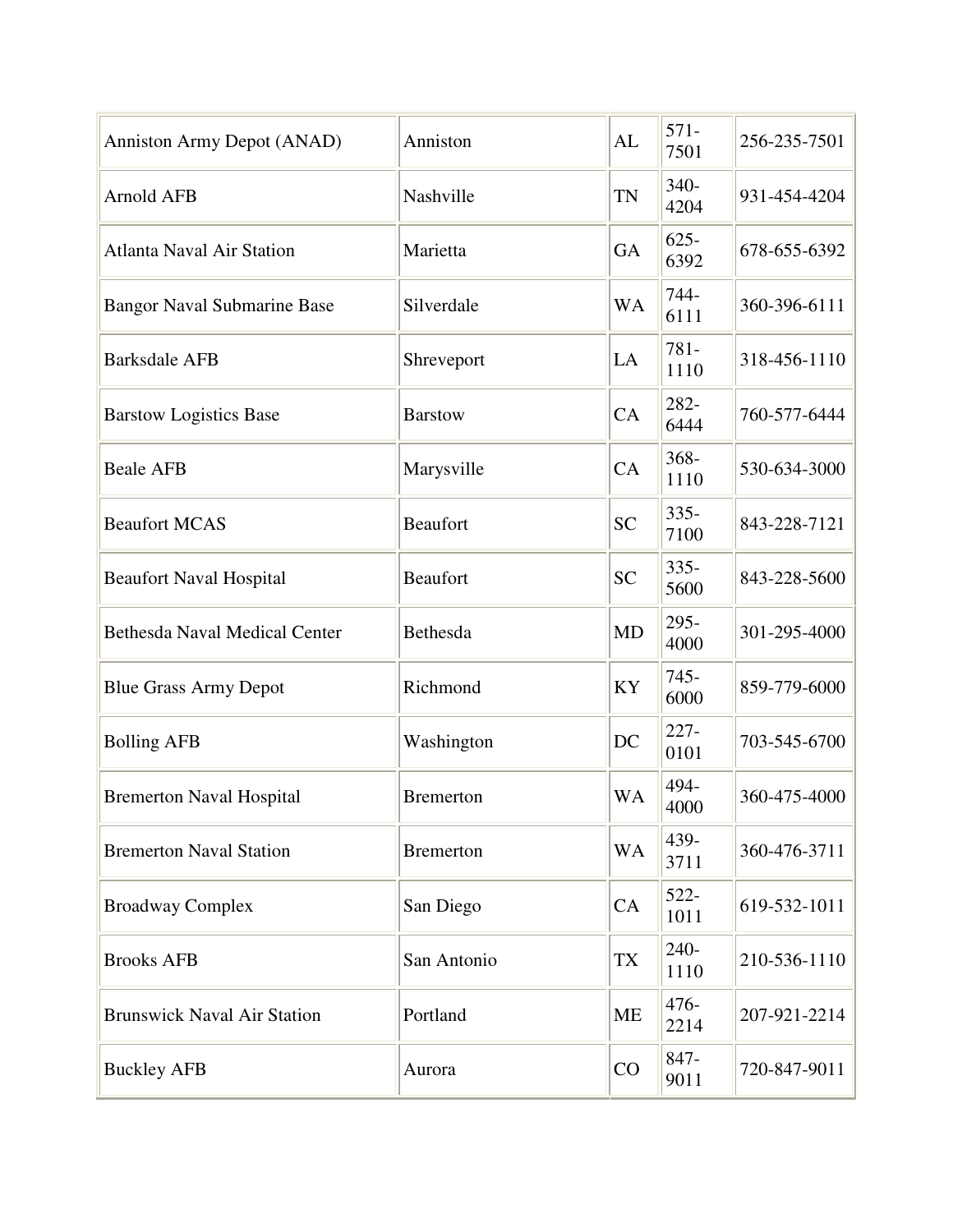| Anniston Army Depot (ANAD)           | Anniston         | AL        | $571-$<br>7501  | 256-235-7501 |
|--------------------------------------|------------------|-----------|-----------------|--------------|
| <b>Arnold AFB</b>                    | Nashville        | <b>TN</b> | 340-<br>4204    | 931-454-4204 |
| <b>Atlanta Naval Air Station</b>     | Marietta         | <b>GA</b> | $625 -$<br>6392 | 678-655-6392 |
| <b>Bangor Naval Submarine Base</b>   | Silverdale       | <b>WA</b> | 744-<br>6111    | 360-396-6111 |
| <b>Barksdale AFB</b>                 | Shreveport       | LA        | 781-<br>1110    | 318-456-1110 |
| <b>Barstow Logistics Base</b>        | <b>Barstow</b>   | CA        | 282-<br>6444    | 760-577-6444 |
| <b>Beale AFB</b>                     | Marysville       | CA        | 368-<br>1110    | 530-634-3000 |
| <b>Beaufort MCAS</b>                 | <b>Beaufort</b>  | <b>SC</b> | $335 -$<br>7100 | 843-228-7121 |
| <b>Beaufort Naval Hospital</b>       | Beaufort         | <b>SC</b> | $335 -$<br>5600 | 843-228-5600 |
| <b>Bethesda Naval Medical Center</b> | Bethesda         | <b>MD</b> | 295-<br>4000    | 301-295-4000 |
| <b>Blue Grass Army Depot</b>         | Richmond         | KY        | $745 -$<br>6000 | 859-779-6000 |
| <b>Bolling AFB</b>                   | Washington       | DC        | $227 -$<br>0101 | 703-545-6700 |
| <b>Bremerton Naval Hospital</b>      | <b>Bremerton</b> | <b>WA</b> | 494-<br>4000    | 360-475-4000 |
| <b>Bremerton Naval Station</b>       | <b>Bremerton</b> | <b>WA</b> | 439-<br>3711    | 360-476-3711 |
| <b>Broadway Complex</b>              | San Diego        | CA        | 522-<br>1011    | 619-532-1011 |
| <b>Brooks AFB</b>                    | San Antonio      | <b>TX</b> | 240-<br>1110    | 210-536-1110 |
| <b>Brunswick Naval Air Station</b>   | Portland         | ME        | $476 -$<br>2214 | 207-921-2214 |
| <b>Buckley AFB</b>                   | Aurora           | CO        | 847-<br>9011    | 720-847-9011 |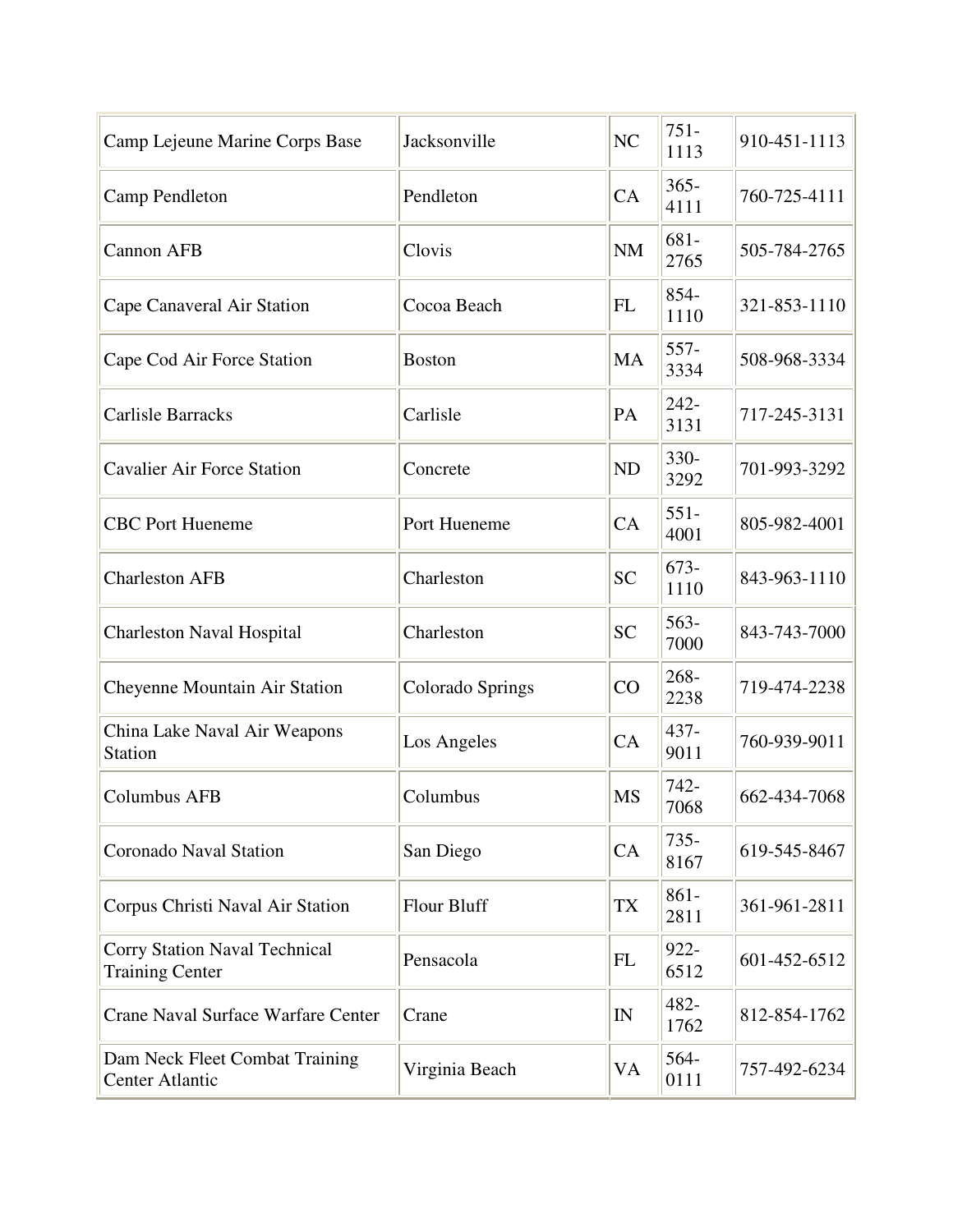| Camp Lejeune Marine Corps Base                          | Jacksonville       | NC        | $751 -$<br>1113 | 910-451-1113 |
|---------------------------------------------------------|--------------------|-----------|-----------------|--------------|
| Camp Pendleton                                          | Pendleton          | CA        | $365 -$<br>4111 | 760-725-4111 |
| <b>Cannon AFB</b>                                       | Clovis             | <b>NM</b> | $681 -$<br>2765 | 505-784-2765 |
| Cape Canaveral Air Station                              | Cocoa Beach        | <b>FL</b> | 854-<br>1110    | 321-853-1110 |
| Cape Cod Air Force Station                              | <b>Boston</b>      | MA        | 557-<br>3334    | 508-968-3334 |
| <b>Carlisle Barracks</b>                                | Carlisle           | PA        | 242-<br>3131    | 717-245-3131 |
| <b>Cavalier Air Force Station</b>                       | Concrete           | <b>ND</b> | 330-<br>3292    | 701-993-3292 |
| <b>CBC</b> Port Hueneme                                 | Port Hueneme       | CA        | $551 -$<br>4001 | 805-982-4001 |
| <b>Charleston AFB</b>                                   | Charleston         | <b>SC</b> | $673-$<br>1110  | 843-963-1110 |
| <b>Charleston Naval Hospital</b>                        | Charleston         | <b>SC</b> | $563-$<br>7000  | 843-743-7000 |
| Cheyenne Mountain Air Station                           | Colorado Springs   | CO        | 268-<br>2238    | 719-474-2238 |
| China Lake Naval Air Weapons<br><b>Station</b>          | Los Angeles        | CA        | 437-<br>9011    | 760-939-9011 |
| <b>Columbus AFB</b>                                     | Columbus           | <b>MS</b> | 742-<br>7068    | 662-434-7068 |
| <b>Coronado Naval Station</b>                           | San Diego          | CA        | $735 -$<br>8167 | 619-545-8467 |
| Corpus Christi Naval Air Station                        | <b>Flour Bluff</b> | <b>TX</b> | $861 -$<br>2811 | 361-961-2811 |
| Corry Station Naval Technical<br><b>Training Center</b> | Pensacola          | FL        | $922 -$<br>6512 | 601-452-6512 |
| Crane Naval Surface Warfare Center                      | Crane              | IN        | 482-<br>1762    | 812-854-1762 |
| Dam Neck Fleet Combat Training<br>Center Atlantic       | Virginia Beach     | VA        | 564-<br>0111    | 757-492-6234 |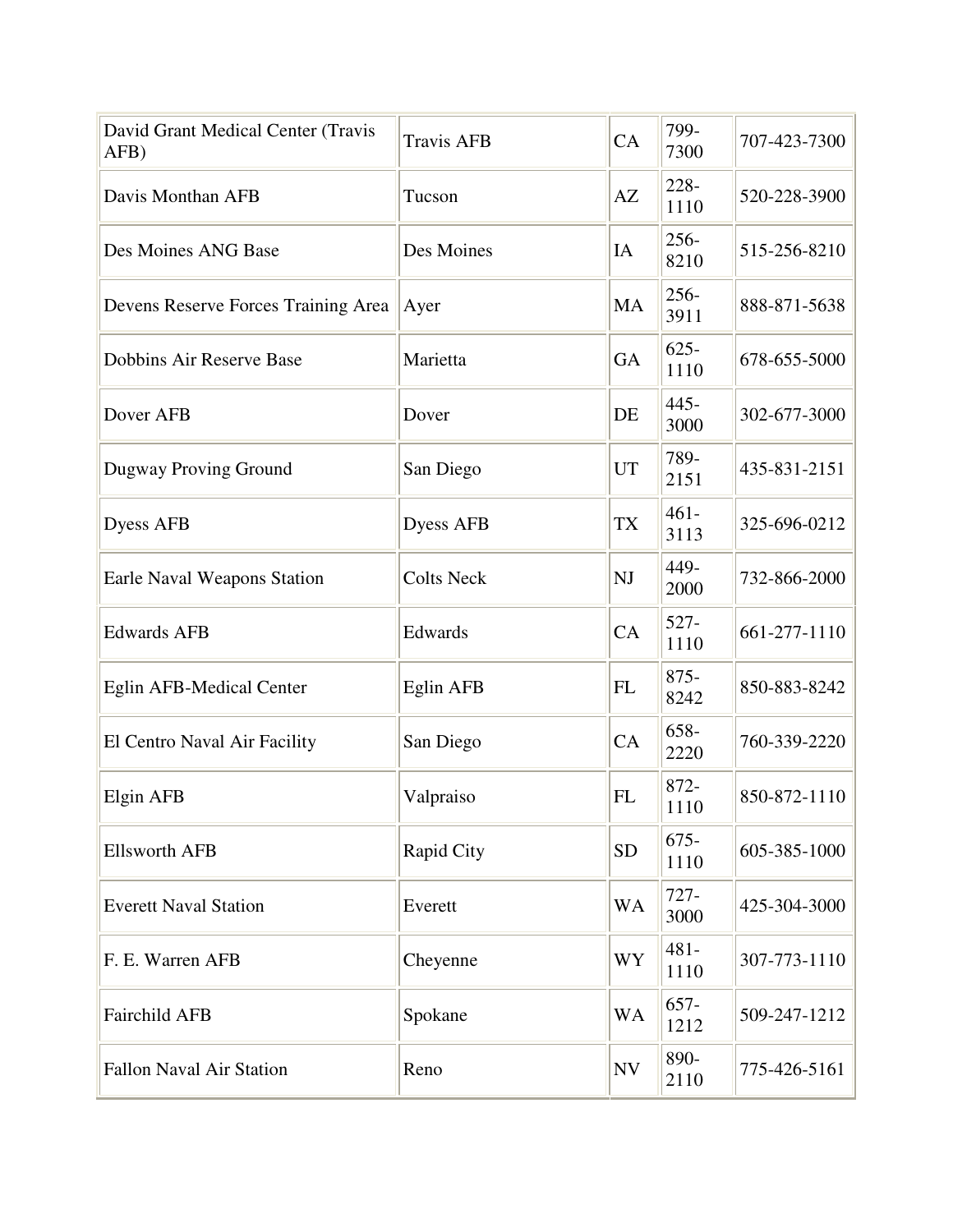| David Grant Medical Center (Travis<br>AFB) | <b>Travis AFB</b> | CA                     | 799-<br>7300    | 707-423-7300 |
|--------------------------------------------|-------------------|------------------------|-----------------|--------------|
| Davis Monthan AFB                          | Tucson            | $\mathbf{A}\mathbf{Z}$ | 228-<br>1110    | 520-228-3900 |
| Des Moines ANG Base                        | Des Moines        | IA                     | $256 -$<br>8210 | 515-256-8210 |
| Devens Reserve Forces Training Area        | Ayer              | MA                     | 256-<br>3911    | 888-871-5638 |
| Dobbins Air Reserve Base                   | Marietta          | <b>GA</b>              | $625 -$<br>1110 | 678-655-5000 |
| Dover AFB                                  | Dover             | DE                     | $445 -$<br>3000 | 302-677-3000 |
| Dugway Proving Ground                      | San Diego         | UT                     | 789-<br>2151    | 435-831-2151 |
| <b>Dyess AFB</b>                           | Dyess AFB         | <b>TX</b>              | $461 -$<br>3113 | 325-696-0212 |
| Earle Naval Weapons Station                | <b>Colts Neck</b> | NJ                     | 449-<br>2000    | 732-866-2000 |
| <b>Edwards AFB</b>                         | Edwards           | CA                     | $527 -$<br>1110 | 661-277-1110 |
| Eglin AFB-Medical Center                   | Eglin AFB         | <b>FL</b>              | $875 -$<br>8242 | 850-883-8242 |
| El Centro Naval Air Facility               | San Diego         | CA                     | 658-<br>2220    | 760-339-2220 |
| Elgin AFB                                  | Valpraiso         | <b>FL</b>              | 872-<br>1110    | 850-872-1110 |
| <b>Ellsworth AFB</b>                       | Rapid City        | <b>SD</b>              | $675 -$<br>1110 | 605-385-1000 |
| <b>Everett Naval Station</b>               | Everett           | <b>WA</b>              | $727 -$<br>3000 | 425-304-3000 |
| F. E. Warren AFB                           | Cheyenne          | WY                     | $481 -$<br>1110 | 307-773-1110 |
| <b>Fairchild AFB</b>                       | Spokane           | <b>WA</b>              | $657 -$<br>1212 | 509-247-1212 |
| <b>Fallon Naval Air Station</b>            | Reno              | <b>NV</b>              | 890-<br>2110    | 775-426-5161 |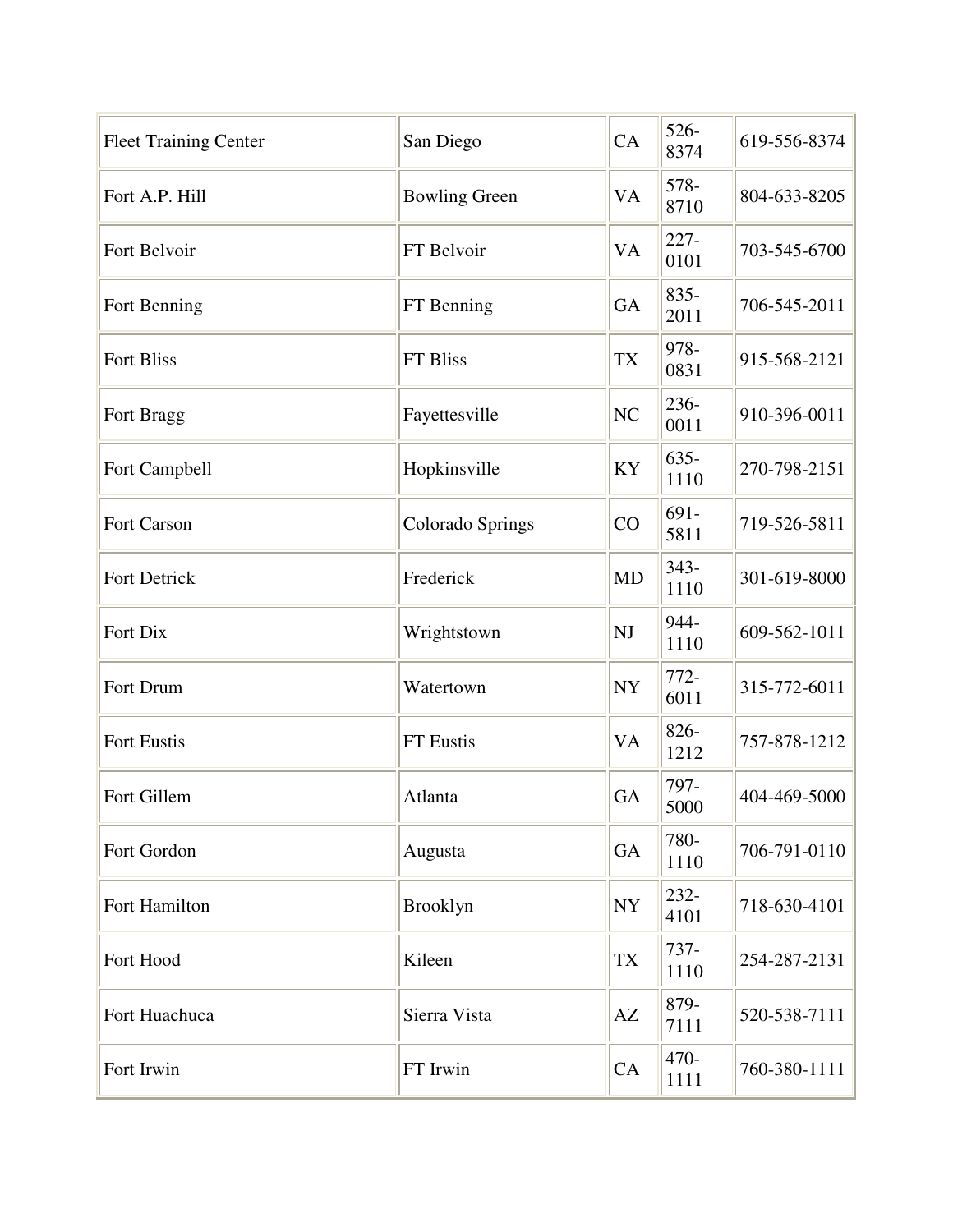| <b>Fleet Training Center</b> | San Diego            | CA        | 526-<br>8374    | 619-556-8374 |
|------------------------------|----------------------|-----------|-----------------|--------------|
| Fort A.P. Hill               | <b>Bowling Green</b> | VA        | 578-<br>8710    | 804-633-8205 |
| Fort Belvoir                 | FT Belvoir           | <b>VA</b> | $227 -$<br>0101 | 703-545-6700 |
| Fort Benning                 | FT Benning           | <b>GA</b> | $835 -$<br>2011 | 706-545-2011 |
| <b>Fort Bliss</b>            | FT Bliss             | <b>TX</b> | 978-<br>0831    | 915-568-2121 |
| Fort Bragg                   | Fayettesville        | NC        | 236-<br>0011    | 910-396-0011 |
| Fort Campbell                | Hopkinsville         | KY        | $635 -$<br>1110 | 270-798-2151 |
| Fort Carson                  | Colorado Springs     | CO        | 691-<br>5811    | 719-526-5811 |
| Fort Detrick                 | Frederick            | <b>MD</b> | $343 -$<br>1110 | 301-619-8000 |
| Fort Dix                     | Wrightstown          | NJ        | 944-<br>1110    | 609-562-1011 |
| Fort Drum                    | Watertown            | <b>NY</b> | $772-$<br>6011  | 315-772-6011 |
| Fort Eustis                  | FT Eustis            | <b>VA</b> | 826-<br>1212    | 757-878-1212 |
| Fort Gillem                  | Atlanta              | GA        | 797-<br>5000    | 404-469-5000 |
| Fort Gordon                  | Augusta              | GA        | 780-<br>1110    | 706-791-0110 |
| Fort Hamilton                | <b>Brooklyn</b>      | NY        | 232-<br>4101    | 718-630-4101 |
| Fort Hood                    | Kileen               | <b>TX</b> | 737-<br>1110    | 254-287-2131 |
| Fort Huachuca                | Sierra Vista         | AZ        | 879-<br>7111    | 520-538-7111 |
| Fort Irwin                   | FT Irwin             | CA        | 470-<br>1111    | 760-380-1111 |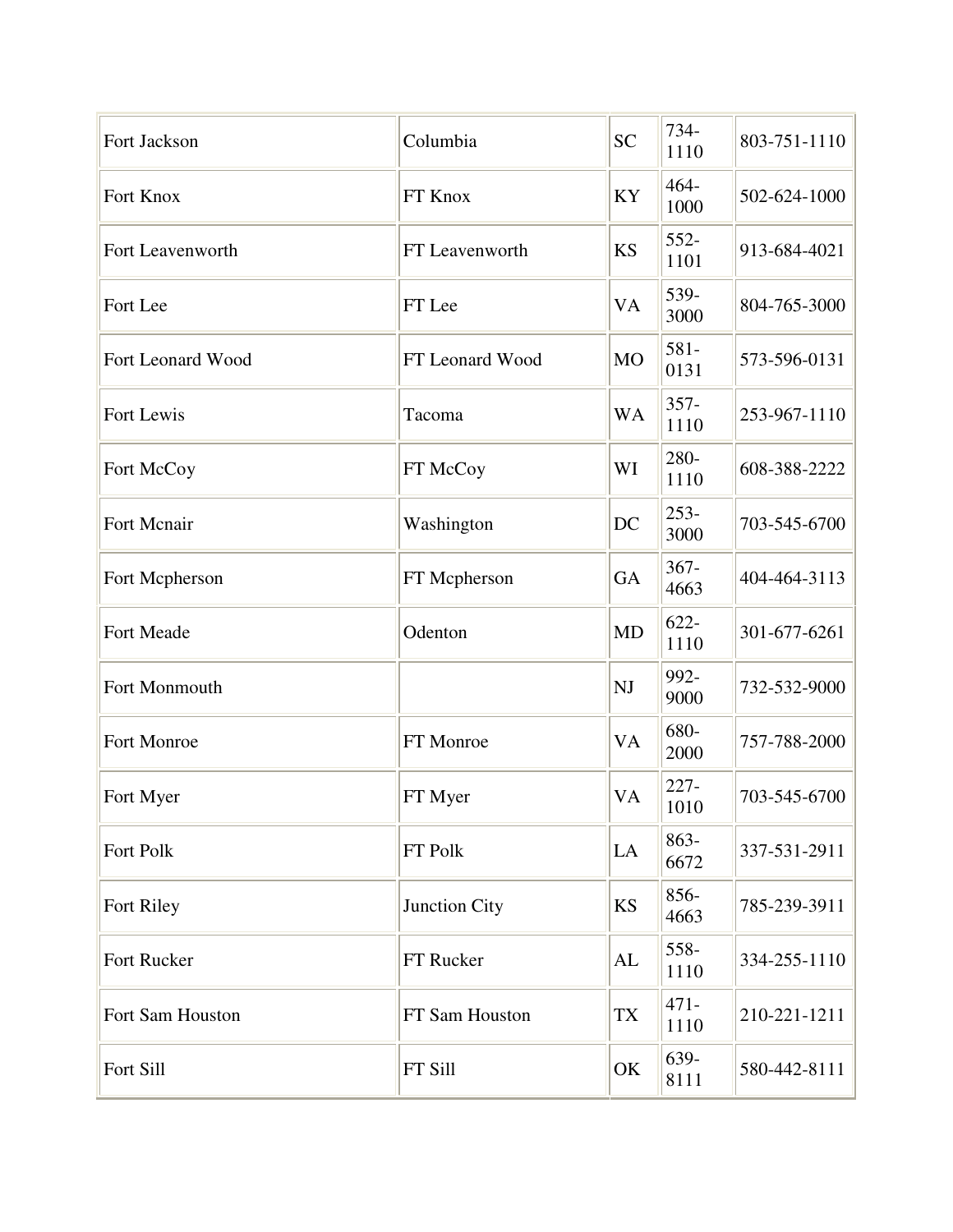| Fort Jackson      | Columbia        | <b>SC</b> | 734-<br>1110    | 803-751-1110 |
|-------------------|-----------------|-----------|-----------------|--------------|
| Fort Knox         | FT Knox         | KY        | 464-<br>1000    | 502-624-1000 |
| Fort Leavenworth  | FT Leavenworth  | <b>KS</b> | 552-<br>1101    | 913-684-4021 |
| Fort Lee          | FT Lee          | <b>VA</b> | 539-<br>3000    | 804-765-3000 |
| Fort Leonard Wood | FT Leonard Wood | <b>MO</b> | 581-<br>0131    | 573-596-0131 |
| Fort Lewis        | Tacoma          | <b>WA</b> | $357 -$<br>1110 | 253-967-1110 |
| Fort McCoy        | FT McCoy        | WI        | 280-<br>1110    | 608-388-2222 |
| Fort Mcnair       | Washington      | DC        | $253-$<br>3000  | 703-545-6700 |
| Fort Mcpherson    | FT Mcpherson    | <b>GA</b> | $367 -$<br>4663 | 404-464-3113 |
| Fort Meade        | Odenton         | <b>MD</b> | $622 -$<br>1110 | 301-677-6261 |
| Fort Monmouth     |                 | NJ        | 992-<br>9000    | 732-532-9000 |
| Fort Monroe       | FT Monroe       | <b>VA</b> | 680-<br>2000    | 757-788-2000 |
| Fort Myer         | FT Myer         | VA        | $227 -$<br>1010 | 703-545-6700 |
| Fort Polk         | FT Polk         | LA        | 863-<br>6672    | 337-531-2911 |
| Fort Riley        | Junction City   | <b>KS</b> | 856-<br>4663    | 785-239-3911 |
| Fort Rucker       | FT Rucker       | AL        | 558-<br>1110    | 334-255-1110 |
| Fort Sam Houston  | FT Sam Houston  | TX        | $471 -$<br>1110 | 210-221-1211 |
| Fort Sill         | FT Sill         | OK        | 639-<br>8111    | 580-442-8111 |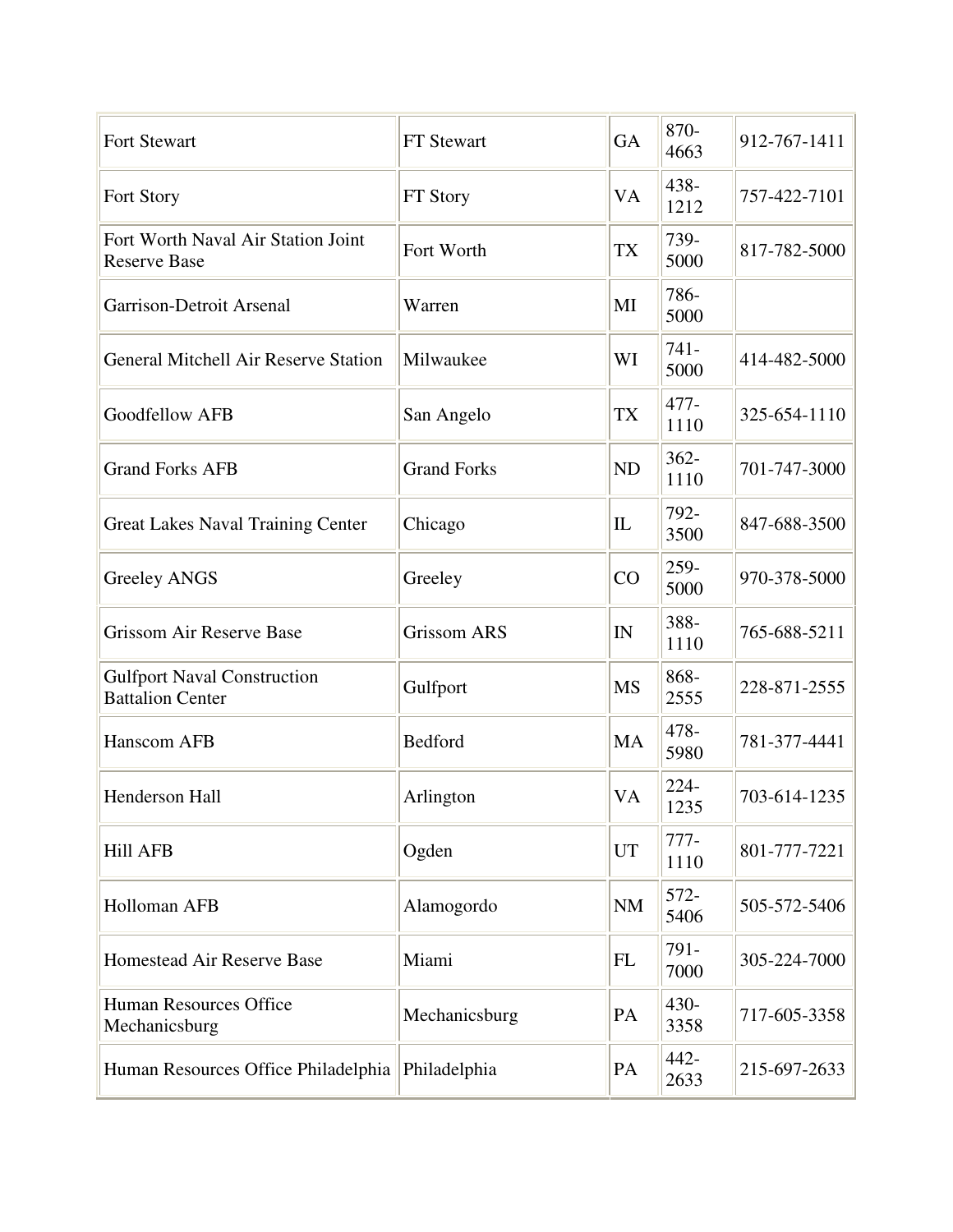| Fort Stewart                                                  | FT Stewart         | <b>GA</b> | 870-<br>4663    | 912-767-1411 |
|---------------------------------------------------------------|--------------------|-----------|-----------------|--------------|
| Fort Story                                                    | FT Story           | VA        | 438-<br>1212    | 757-422-7101 |
| Fort Worth Naval Air Station Joint<br><b>Reserve Base</b>     | Fort Worth         | <b>TX</b> | 739-<br>5000    | 817-782-5000 |
| Garrison-Detroit Arsenal                                      | Warren             | MI        | 786-<br>5000    |              |
| <b>General Mitchell Air Reserve Station</b>                   | Milwaukee          | WI        | $741 -$<br>5000 | 414-482-5000 |
| <b>Goodfellow AFB</b>                                         | San Angelo         | <b>TX</b> | 477-<br>1110    | 325-654-1110 |
| <b>Grand Forks AFB</b>                                        | <b>Grand Forks</b> | <b>ND</b> | $362 -$<br>1110 | 701-747-3000 |
| <b>Great Lakes Naval Training Center</b>                      | Chicago            | IL        | 792-<br>3500    | 847-688-3500 |
| <b>Greeley ANGS</b>                                           | Greeley            | CO        | 259-<br>5000    | 970-378-5000 |
| <b>Grissom Air Reserve Base</b>                               | <b>Grissom ARS</b> | IN        | 388-<br>1110    | 765-688-5211 |
| <b>Gulfport Naval Construction</b><br><b>Battalion Center</b> | Gulfport           | <b>MS</b> | 868-<br>2555    | 228-871-2555 |
| Hanscom AFB                                                   | Bedford            | MA        | 478-<br>5980    | 781-377-4441 |
| Henderson Hall                                                | Arlington          | VA        | 224-<br>1235    | 703-614-1235 |
| <b>Hill AFB</b>                                               | Ogden              | <b>UT</b> | $777-$<br>1110  | 801-777-7221 |
| Holloman AFB                                                  | Alamogordo         | <b>NM</b> | $572-$<br>5406  | 505-572-5406 |
| Homestead Air Reserve Base                                    | Miami              | <b>FL</b> | 791-<br>7000    | 305-224-7000 |
| <b>Human Resources Office</b><br>Mechanicsburg                | Mechanicsburg      | PA        | 430-<br>3358    | 717-605-3358 |
| Human Resources Office Philadelphia                           | Philadelphia       | PA        | 442-<br>2633    | 215-697-2633 |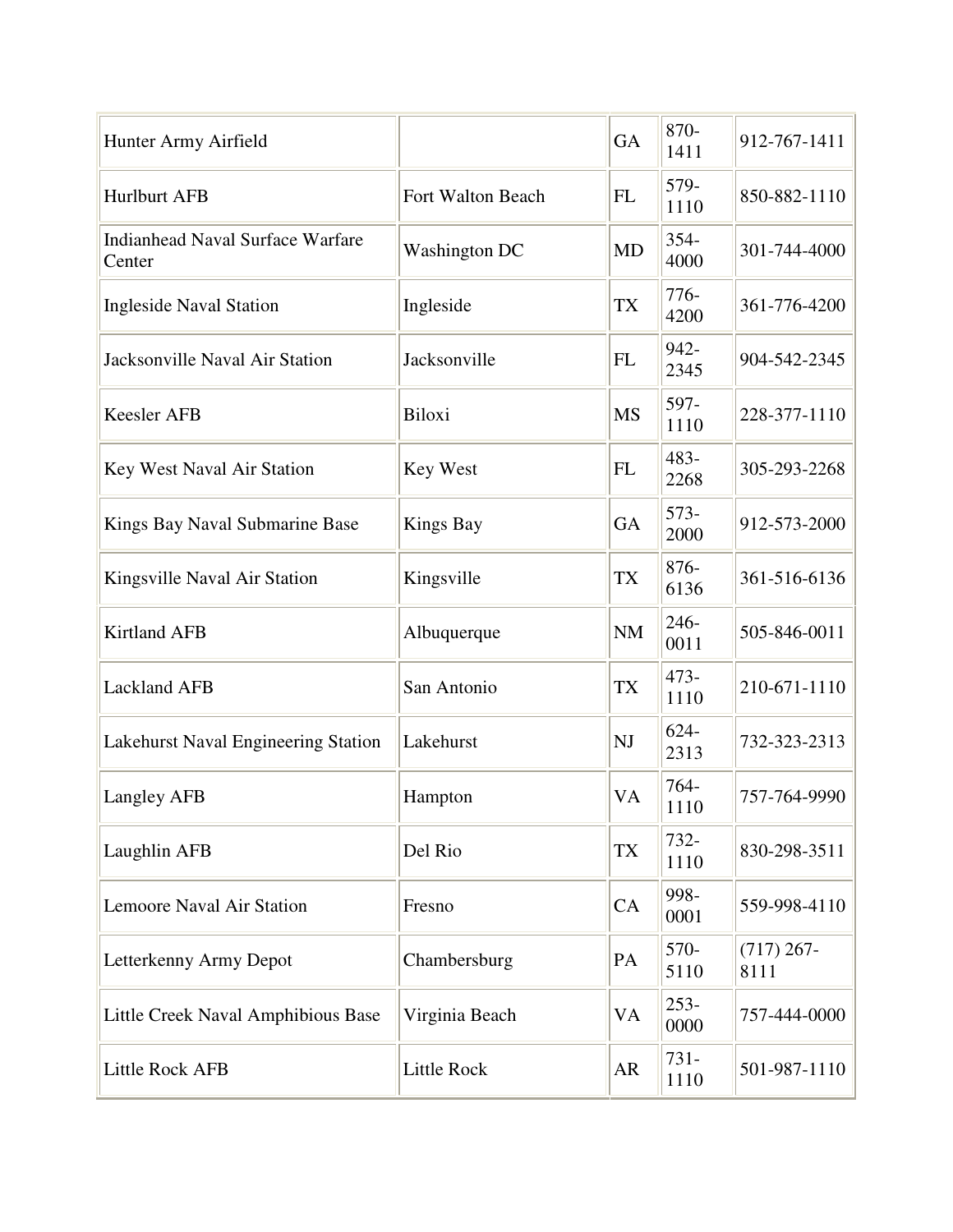| Hunter Army Airfield                              |                      | GA        | 870-<br>1411    | 912-767-1411         |
|---------------------------------------------------|----------------------|-----------|-----------------|----------------------|
| <b>Hurlburt AFB</b>                               | Fort Walton Beach    | <b>FL</b> | 579-<br>1110    | 850-882-1110         |
| <b>Indianhead Naval Surface Warfare</b><br>Center | <b>Washington DC</b> | <b>MD</b> | 354-<br>4000    | 301-744-4000         |
| <b>Ingleside Naval Station</b>                    | Ingleside            | TX        | $776-$<br>4200  | 361-776-4200         |
| Jacksonville Naval Air Station                    | Jacksonville         | <b>FL</b> | 942-<br>2345    | 904-542-2345         |
| <b>Keesler AFB</b>                                | Biloxi               | <b>MS</b> | 597-<br>1110    | 228-377-1110         |
| Key West Naval Air Station                        | Key West             | <b>FL</b> | 483-<br>2268    | 305-293-2268         |
| Kings Bay Naval Submarine Base                    | <b>Kings Bay</b>     | GA        | $573-$<br>2000  | 912-573-2000         |
| Kingsville Naval Air Station                      | Kingsville           | <b>TX</b> | 876-<br>6136    | 361-516-6136         |
| <b>Kirtland AFB</b>                               | Albuquerque          | <b>NM</b> | 246-<br>0011    | 505-846-0011         |
| <b>Lackland AFB</b>                               | San Antonio          | <b>TX</b> | $473-$<br>1110  | 210-671-1110         |
| Lakehurst Naval Engineering Station               | Lakehurst            | NJ        | $624 -$<br>2313 | 732-323-2313         |
| Langley AFB                                       | Hampton              | VA        | 764-<br>1110    | 757-764-9990         |
| Laughlin AFB                                      | Del Rio              | <b>TX</b> | 732-<br>1110    | 830-298-3511         |
| Lemoore Naval Air Station                         | Fresno               | CA        | 998-<br>0001    | 559-998-4110         |
| Letterkenny Army Depot                            | Chambersburg         | PA        | 570-<br>5110    | $(717)$ 267-<br>8111 |
| Little Creek Naval Amphibious Base                | Virginia Beach       | VA        | $253 -$<br>0000 | 757-444-0000         |
| Little Rock AFB                                   | Little Rock          | AR        | 731-<br>1110    | 501-987-1110         |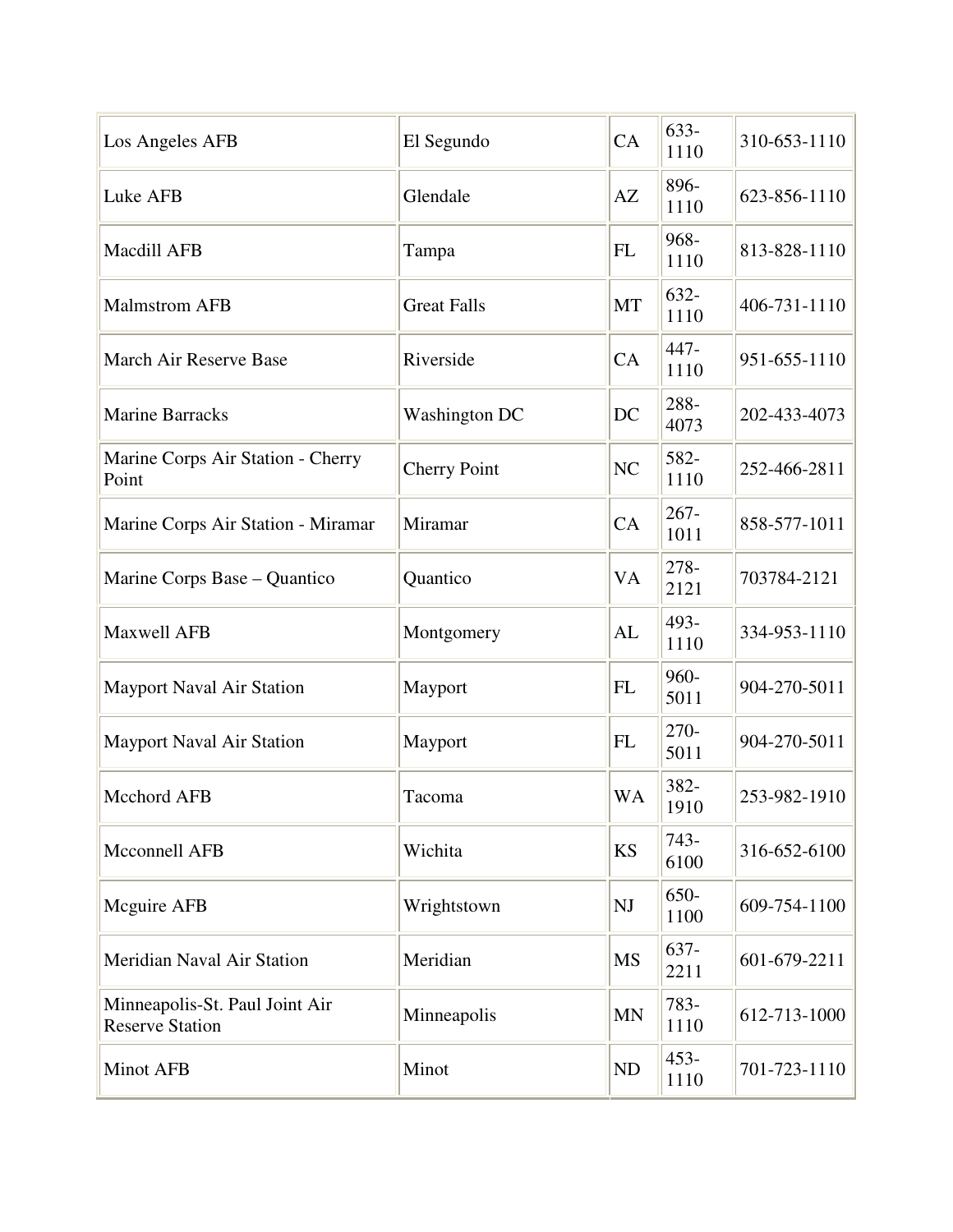| Los Angeles AFB                                          | El Segundo           | CA             | $633-$<br>1110  | 310-653-1110 |
|----------------------------------------------------------|----------------------|----------------|-----------------|--------------|
| Luke AFB                                                 | Glendale             | AZ             | 896-<br>1110    | 623-856-1110 |
| Macdill AFB                                              | Tampa                | <b>FL</b>      | 968-<br>1110    | 813-828-1110 |
| <b>Malmstrom AFB</b>                                     | <b>Great Falls</b>   | MT             | $632 -$<br>1110 | 406-731-1110 |
| March Air Reserve Base                                   | Riverside            | CA             | 447-<br>1110    | 951-655-1110 |
| <b>Marine Barracks</b>                                   | <b>Washington DC</b> | DC             | 288-<br>4073    | 202-433-4073 |
| Marine Corps Air Station - Cherry<br>Point               | <b>Cherry Point</b>  | N <sub>C</sub> | 582-<br>1110    | 252-466-2811 |
| Marine Corps Air Station - Miramar                       | Miramar              | CA             | $267 -$<br>1011 | 858-577-1011 |
| Marine Corps Base – Quantico                             | Quantico             | VA             | 278-<br>2121    | 703784-2121  |
| <b>Maxwell AFB</b>                                       | Montgomery           | AL             | 493-<br>1110    | 334-953-1110 |
| <b>Mayport Naval Air Station</b>                         | Mayport              | <b>FL</b>      | 960-<br>5011    | 904-270-5011 |
| <b>Mayport Naval Air Station</b>                         | Mayport              | <b>FL</b>      | 270-<br>5011    | 904-270-5011 |
| <b>Mcchord AFB</b>                                       | Tacoma               | <b>WA</b>      | 382-<br>1910    | 253-982-1910 |
| Mcconnell AFB                                            | Wichita              | <b>KS</b>      | $743-$<br>6100  | 316-652-6100 |
| Mcguire AFB                                              | Wrightstown          | NJ             | 650-<br>1100    | 609-754-1100 |
| Meridian Naval Air Station                               | Meridian             | <b>MS</b>      | 637-<br>2211    | 601-679-2211 |
| Minneapolis-St. Paul Joint Air<br><b>Reserve Station</b> | Minneapolis          | <b>MN</b>      | 783-<br>1110    | 612-713-1000 |
| Minot AFB                                                | Minot                | ND             | $453 -$<br>1110 | 701-723-1110 |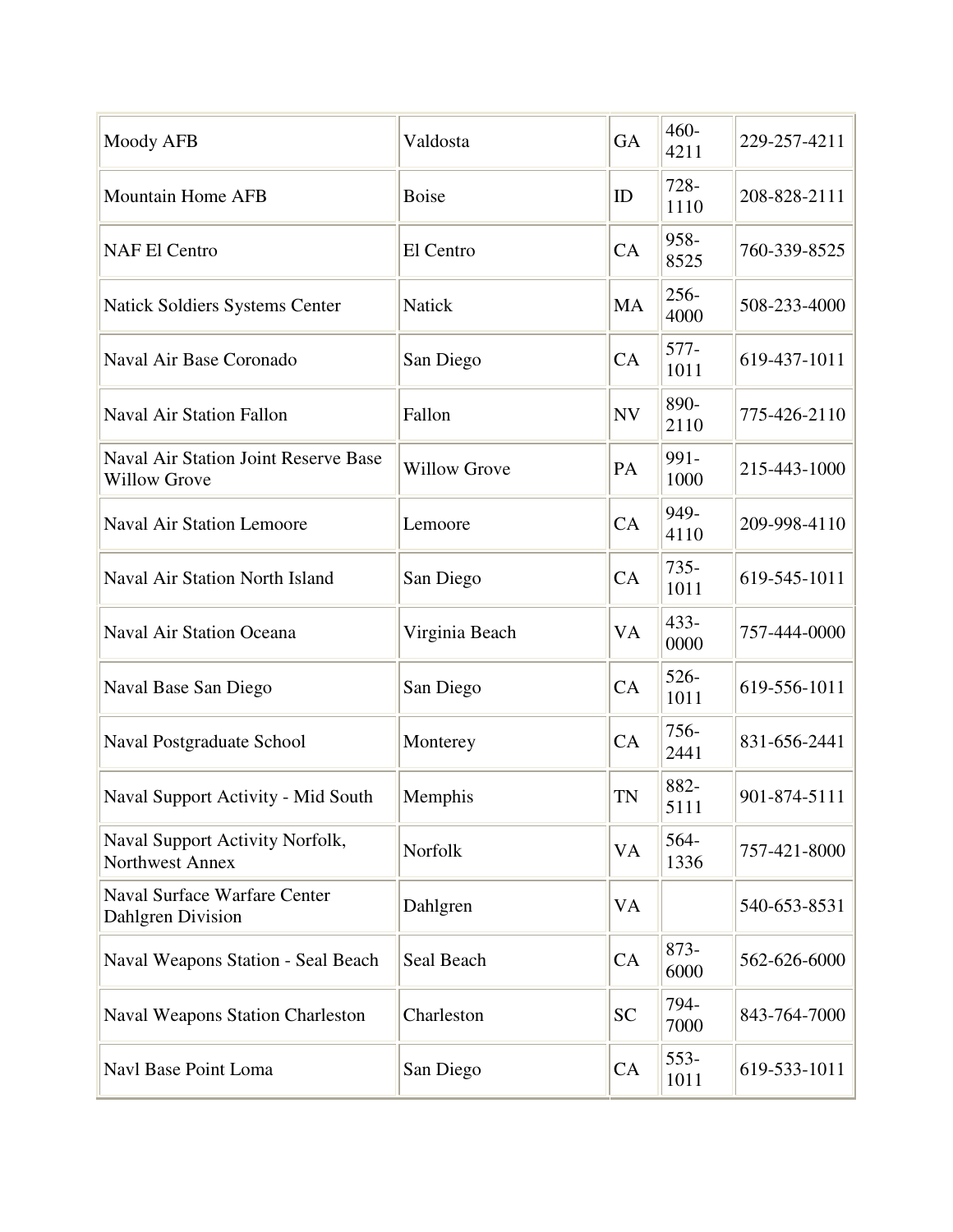| Moody AFB                                                   | Valdosta            | <b>GA</b> | $460 -$<br>4211 | 229-257-4211 |
|-------------------------------------------------------------|---------------------|-----------|-----------------|--------------|
| <b>Mountain Home AFB</b>                                    | <b>Boise</b>        | ID        | 728-<br>1110    | 208-828-2111 |
| <b>NAF El Centro</b>                                        | El Centro           | CA        | 958-<br>8525    | 760-339-8525 |
| Natick Soldiers Systems Center                              | <b>Natick</b>       | MA        | $256 -$<br>4000 | 508-233-4000 |
| Naval Air Base Coronado                                     | San Diego           | CA        | 577-<br>1011    | 619-437-1011 |
| <b>Naval Air Station Fallon</b>                             | Fallon              | <b>NV</b> | 890-<br>2110    | 775-426-2110 |
| Naval Air Station Joint Reserve Base<br><b>Willow Grove</b> | <b>Willow Grove</b> | PA        | 991-<br>1000    | 215-443-1000 |
| <b>Naval Air Station Lemoore</b>                            | Lemoore             | CA        | 949-<br>4110    | 209-998-4110 |
| Naval Air Station North Island                              | San Diego           | CA        | $735 -$<br>1011 | 619-545-1011 |
| <b>Naval Air Station Oceana</b>                             | Virginia Beach      | VA        | $433 -$<br>0000 | 757-444-0000 |
| Naval Base San Diego                                        | San Diego           | CA        | 526-<br>1011    | 619-556-1011 |
| Naval Postgraduate School                                   | Monterey            | CA        | 756-<br>2441    | 831-656-2441 |
| Naval Support Activity - Mid South                          | Memphis             | <b>TN</b> | 882-<br>5111    | 901-874-5111 |
| Naval Support Activity Norfolk,<br>Northwest Annex          | Norfolk             | VA        | 564-<br>1336    | 757-421-8000 |
| <b>Naval Surface Warfare Center</b><br>Dahlgren Division    | Dahlgren            | VA        |                 | 540-653-8531 |
| Naval Weapons Station - Seal Beach                          | Seal Beach          | CA        | 873-<br>6000    | 562-626-6000 |
| <b>Naval Weapons Station Charleston</b>                     | Charleston          | <b>SC</b> | 794-<br>7000    | 843-764-7000 |
| Navl Base Point Loma                                        | San Diego           | CA        | 553-<br>1011    | 619-533-1011 |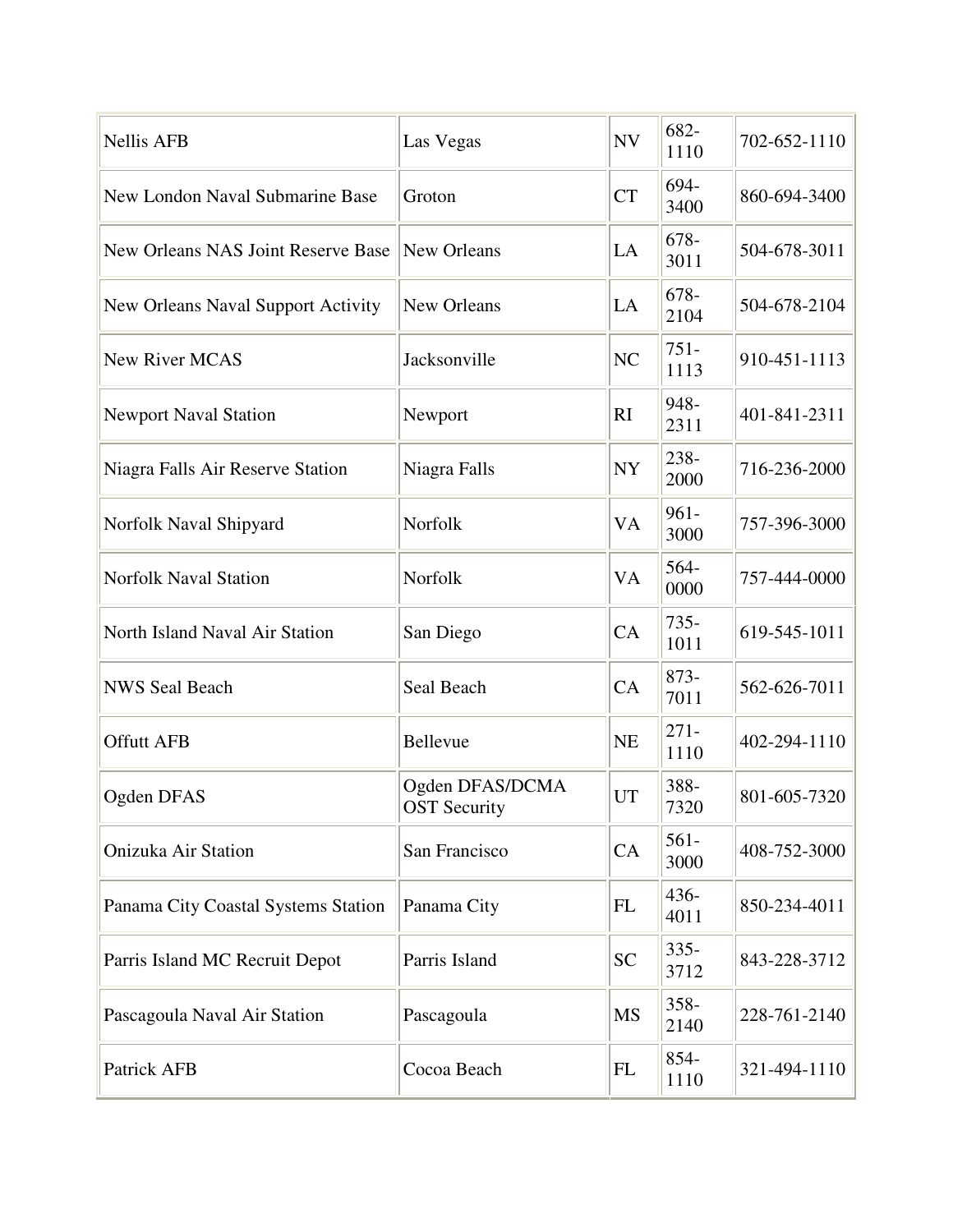| <b>Nellis AFB</b>                   | Las Vegas                              | <b>NV</b> | 682-<br>1110    | 702-652-1110 |
|-------------------------------------|----------------------------------------|-----------|-----------------|--------------|
| New London Naval Submarine Base     | Groton                                 | <b>CT</b> | 694-<br>3400    | 860-694-3400 |
| New Orleans NAS Joint Reserve Base  | New Orleans                            | LA        | 678-<br>3011    | 504-678-3011 |
| New Orleans Naval Support Activity  | New Orleans                            | LA        | 678-<br>2104    | 504-678-2104 |
| New River MCAS                      | Jacksonville                           | NC        | $751 -$<br>1113 | 910-451-1113 |
| <b>Newport Naval Station</b>        | Newport                                | RI        | 948-<br>2311    | 401-841-2311 |
| Niagra Falls Air Reserve Station    | Niagra Falls                           | <b>NY</b> | 238-<br>2000    | 716-236-2000 |
| Norfolk Naval Shipyard              | Norfolk                                | <b>VA</b> | 961-<br>3000    | 757-396-3000 |
| <b>Norfolk Naval Station</b>        | Norfolk                                | VA        | 564-<br>0000    | 757-444-0000 |
| North Island Naval Air Station      | San Diego                              | CA        | $735 -$<br>1011 | 619-545-1011 |
| <b>NWS Seal Beach</b>               | Seal Beach                             | CA        | 873-<br>7011    | 562-626-7011 |
| <b>Offutt AFB</b>                   | Bellevue                               | <b>NE</b> | $271 -$<br>1110 | 402-294-1110 |
| Ogden DFAS                          | Ogden DFAS/DCMA<br><b>OST Security</b> | <b>UT</b> | 388-<br>7320    | 801-605-7320 |
| <b>Onizuka Air Station</b>          | San Francisco                          | CA        | $561 -$<br>3000 | 408-752-3000 |
| Panama City Coastal Systems Station | Panama City                            | <b>FL</b> | 436-<br>4011    | 850-234-4011 |
| Parris Island MC Recruit Depot      | Parris Island                          | <b>SC</b> | $335 -$<br>3712 | 843-228-3712 |
| Pascagoula Naval Air Station        | Pascagoula                             | MS        | 358-<br>2140    | 228-761-2140 |
| Patrick AFB                         | Cocoa Beach                            | FL        | 854-<br>1110    | 321-494-1110 |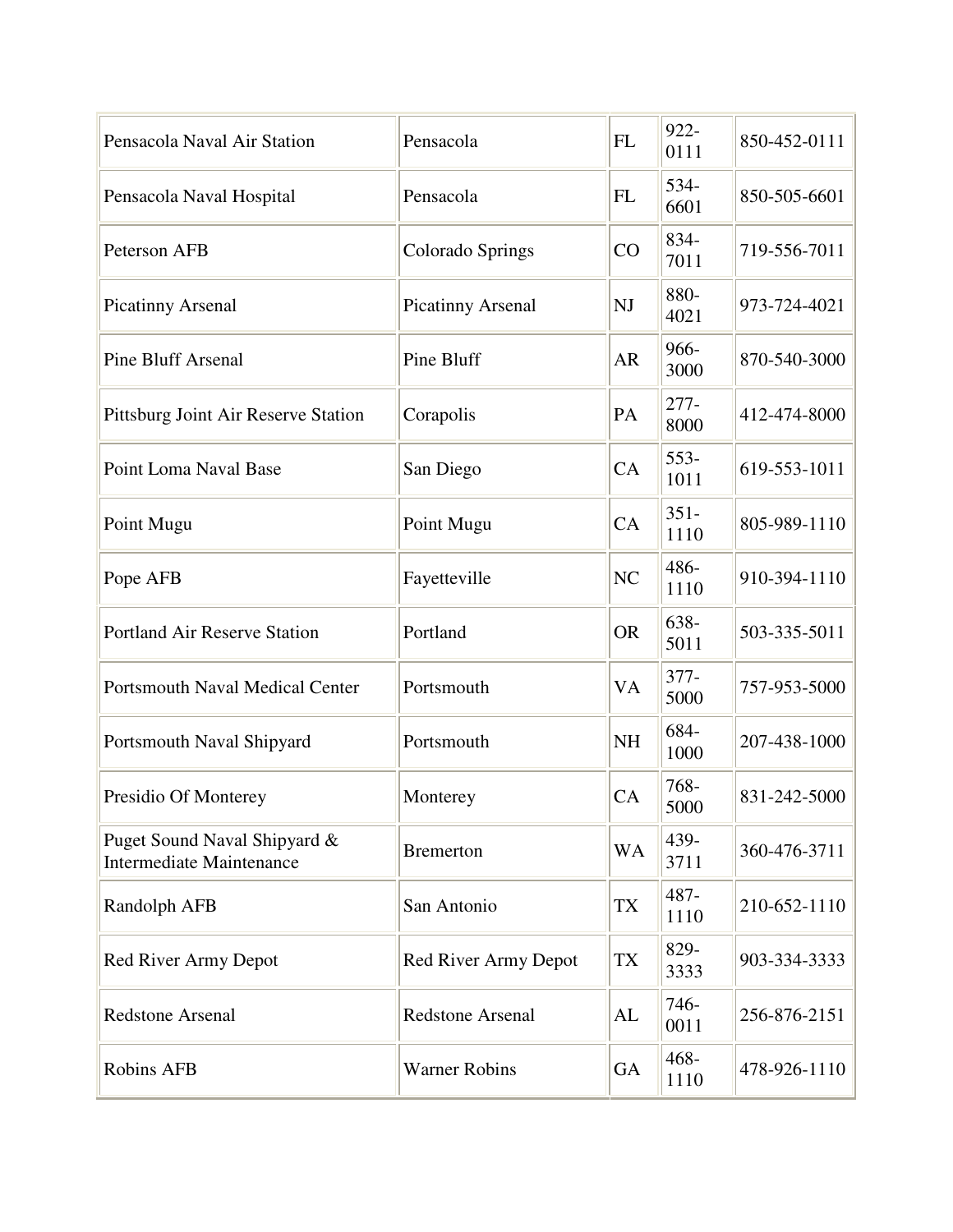| Pensacola Naval Air Station                                     | Pensacola               | <b>FL</b> | 922-<br>0111    | 850-452-0111 |
|-----------------------------------------------------------------|-------------------------|-----------|-----------------|--------------|
| Pensacola Naval Hospital                                        | Pensacola               | <b>FL</b> | 534-<br>6601    | 850-505-6601 |
| Peterson AFB                                                    | Colorado Springs        | CO        | 834-<br>7011    | 719-556-7011 |
| <b>Picatinny Arsenal</b>                                        | Picatinny Arsenal       | NJ        | 880-<br>4021    | 973-724-4021 |
| <b>Pine Bluff Arsenal</b>                                       | Pine Bluff              | <b>AR</b> | 966-<br>3000    | 870-540-3000 |
| Pittsburg Joint Air Reserve Station                             | Corapolis               | PA        | $277 -$<br>8000 | 412-474-8000 |
| Point Loma Naval Base                                           | San Diego               | CA        | $553-$<br>1011  | 619-553-1011 |
| Point Mugu                                                      | Point Mugu              | CA        | $351 -$<br>1110 | 805-989-1110 |
| Pope AFB                                                        | Fayetteville            | NC        | 486-<br>1110    | 910-394-1110 |
| <b>Portland Air Reserve Station</b>                             | Portland                | <b>OR</b> | 638-<br>5011    | 503-335-5011 |
| <b>Portsmouth Naval Medical Center</b>                          | Portsmouth              | VA        | $377 -$<br>5000 | 757-953-5000 |
| Portsmouth Naval Shipyard                                       | Portsmouth              | <b>NH</b> | 684-<br>1000    | 207-438-1000 |
| Presidio Of Monterey                                            | Monterey                | CA        | 768-<br>5000    | 831-242-5000 |
| Puget Sound Naval Shipyard &<br><b>Intermediate Maintenance</b> | <b>Bremerton</b>        | WA        | 439-<br>3711    | 360-476-3711 |
| Randolph AFB                                                    | San Antonio             | TX        | 487-<br>1110    | 210-652-1110 |
| Red River Army Depot                                            | Red River Army Depot    | TX        | 829-<br>3333    | 903-334-3333 |
| Redstone Arsenal                                                | <b>Redstone Arsenal</b> | AL        | 746-<br>0011    | 256-876-2151 |
| <b>Robins AFB</b>                                               | <b>Warner Robins</b>    | <b>GA</b> | $468 -$<br>1110 | 478-926-1110 |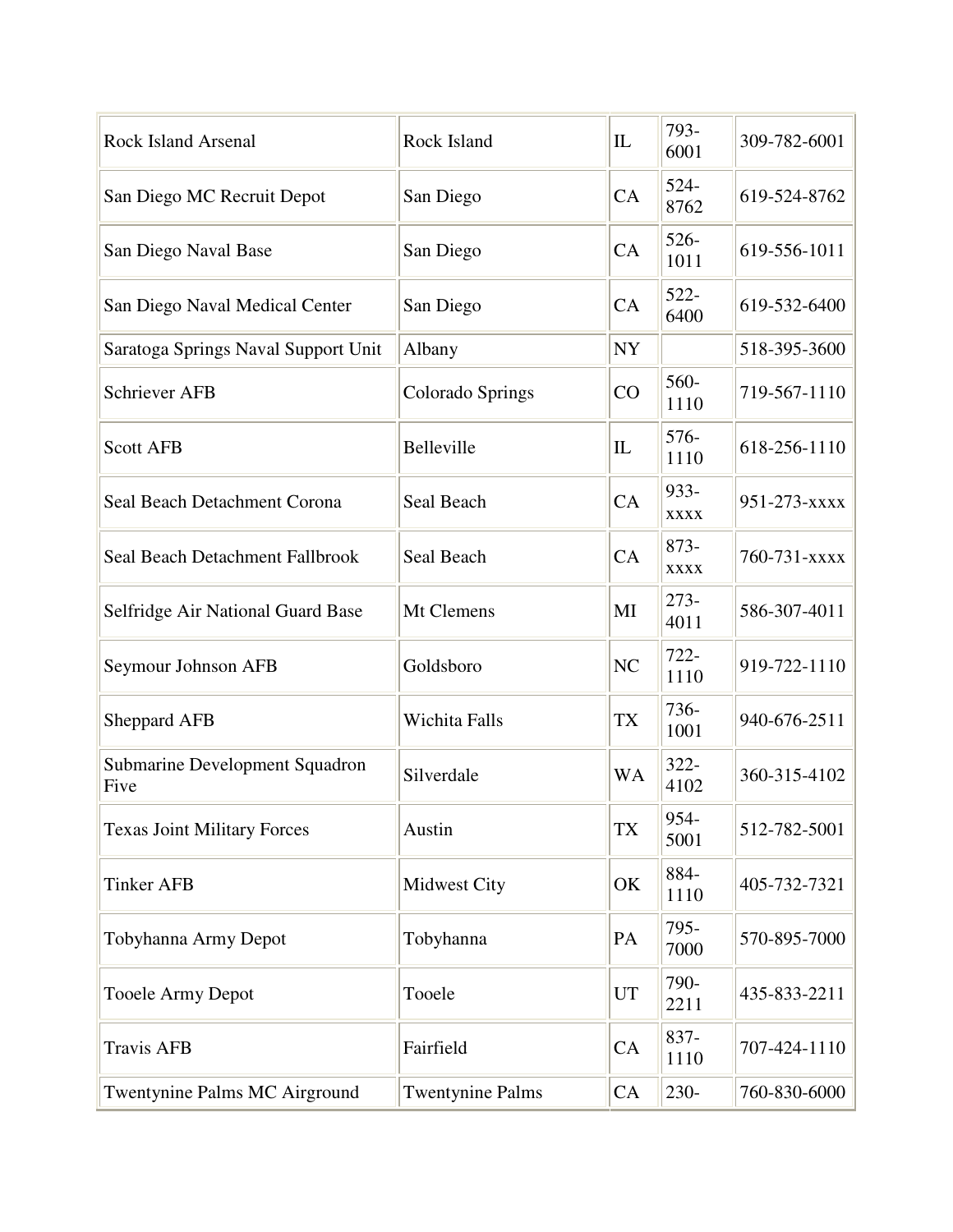| <b>Rock Island Arsenal</b>             | Rock Island             | IL        | 793-<br>6001        | 309-782-6001 |
|----------------------------------------|-------------------------|-----------|---------------------|--------------|
| San Diego MC Recruit Depot             | San Diego               | CA        | $524 -$<br>8762     | 619-524-8762 |
| San Diego Naval Base                   | San Diego               | CA        | $526 -$<br>1011     | 619-556-1011 |
| San Diego Naval Medical Center         | San Diego               | CA        | $522 -$<br>6400     | 619-532-6400 |
| Saratoga Springs Naval Support Unit    | Albany                  | <b>NY</b> |                     | 518-395-3600 |
| <b>Schriever AFB</b>                   | Colorado Springs        | CO        | 560-<br>1110        | 719-567-1110 |
| <b>Scott AFB</b>                       | Belleville              | IL        | 576-<br>1110        | 618-256-1110 |
| Seal Beach Detachment Corona           | Seal Beach              | CA        | 933-<br><b>XXXX</b> | 951-273-xxxx |
| Seal Beach Detachment Fallbrook        | Seal Beach              | CA        | 873-<br><b>XXXX</b> | 760-731-xxxx |
| Selfridge Air National Guard Base      | Mt Clemens              | MI        | $273-$<br>4011      | 586-307-4011 |
| Seymour Johnson AFB                    | Goldsboro               | NC        | $722 -$<br>1110     | 919-722-1110 |
| <b>Sheppard AFB</b>                    | Wichita Falls           | <b>TX</b> | 736-<br>1001        | 940-676-2511 |
| Submarine Development Squadron<br>Five | Silverdale              | <b>WA</b> | $322 -$<br>4102     | 360-315-4102 |
| <b>Texas Joint Military Forces</b>     | Austin                  | <b>TX</b> | 954-<br>5001        | 512-782-5001 |
| <b>Tinker AFB</b>                      | Midwest City            | OK        | 884-<br>1110        | 405-732-7321 |
| Tobyhanna Army Depot                   | Tobyhanna               | PA        | 795-<br>7000        | 570-895-7000 |
| <b>Tooele Army Depot</b>               | Tooele                  | UT        | 790-<br>2211        | 435-833-2211 |
| <b>Travis AFB</b>                      | Fairfield               | CA        | 837-<br>1110        | 707-424-1110 |
| Twentynine Palms MC Airground          | <b>Twentynine Palms</b> | CA        | 230-                | 760-830-6000 |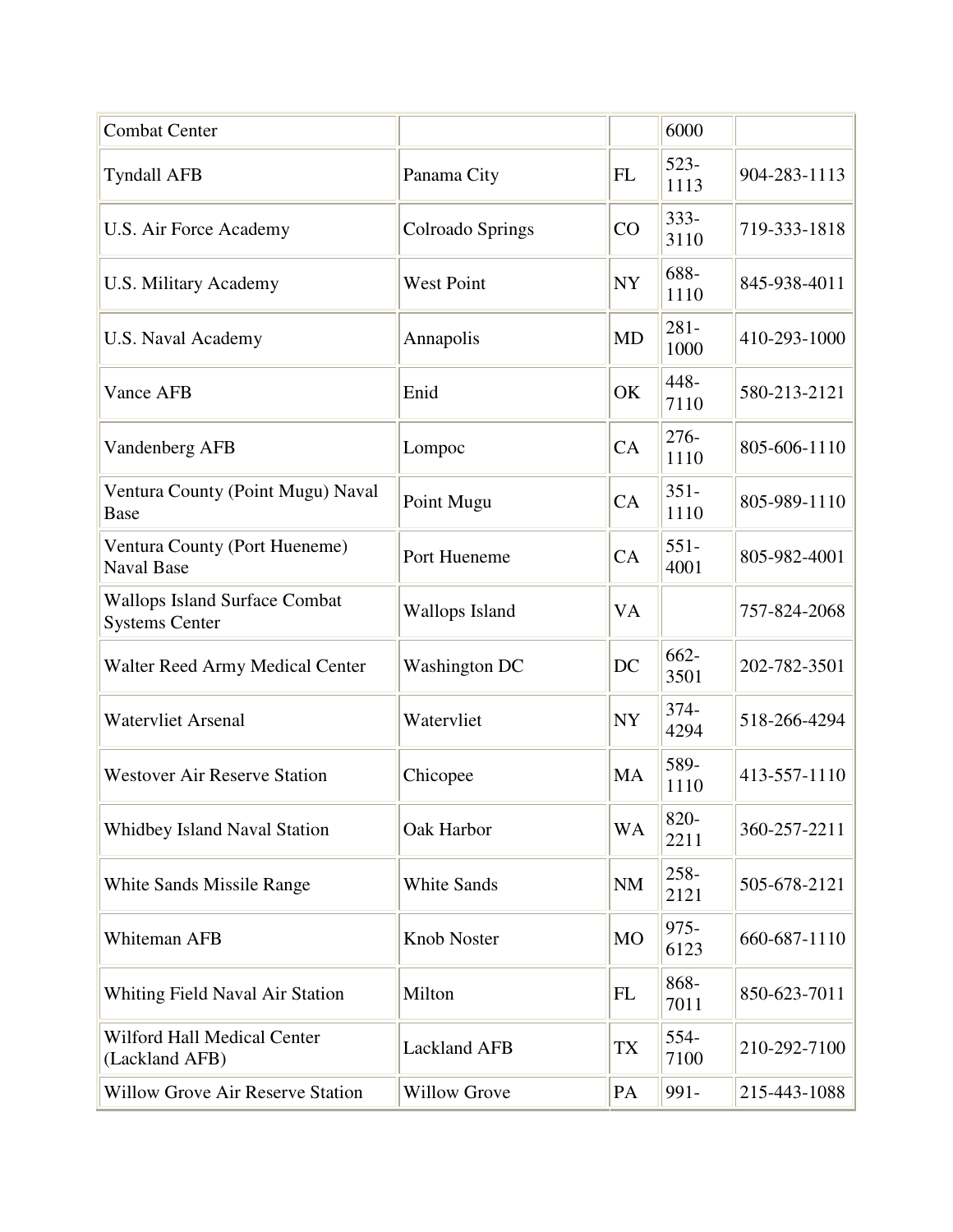| <b>Combat Center</b>                                          |                      |           | 6000            |                    |
|---------------------------------------------------------------|----------------------|-----------|-----------------|--------------------|
| <b>Tyndall AFB</b>                                            | Panama City          | <b>FL</b> | $523-$<br>1113  | 904-283-1113       |
| U.S. Air Force Academy                                        | Colroado Springs     | CO        | $333 -$<br>3110 | 719-333-1818       |
| <b>U.S. Military Academy</b>                                  | <b>West Point</b>    | <b>NY</b> | 688-<br>1110    | 845-938-4011       |
| U.S. Naval Academy                                            | Annapolis            | <b>MD</b> | $281 -$<br>1000 | 410-293-1000       |
| <b>Vance AFB</b>                                              | Enid                 | OK        | 448-<br>7110    | 580-213-2121       |
| Vandenberg AFB                                                | Lompoc               | CA        | 276-<br>1110    | 805-606-1110       |
| Ventura County (Point Mugu) Naval<br><b>Base</b>              | Point Mugu           | CA        | $351 -$<br>1110 | 805-989-1110       |
| Ventura County (Port Hueneme)<br><b>Naval Base</b>            | Port Hueneme         | CA        | $551 -$<br>4001 | 805-982-4001       |
| <b>Wallops Island Surface Combat</b><br><b>Systems Center</b> | Wallops Island       | VA        |                 | 757-824-2068       |
| <b>Walter Reed Army Medical Center</b>                        | <b>Washington DC</b> | DC        | $662 -$<br>3501 | 202-782-3501       |
| <b>Watervliet Arsenal</b>                                     | Watervliet           | <b>NY</b> | 374-<br>4294    | 518-266-4294       |
| <b>Westover Air Reserve Station</b>                           | Chicopee             | MA        | 589-<br>1110    | 413-557-1110       |
| <b>Whidbey Island Naval Station</b>                           | Oak Harbor           | <b>WA</b> | 820-<br>2211    | $360 - 257 - 2211$ |
| White Sands Missile Range                                     | White Sands          | <b>NM</b> | 258-<br>2121    | 505-678-2121       |
| Whiteman AFB                                                  | Knob Noster          | <b>MO</b> | $975 -$<br>6123 | 660-687-1110       |
| Whiting Field Naval Air Station                               | Milton               | <b>FL</b> | 868-<br>7011    | 850-623-7011       |
| Wilford Hall Medical Center<br>(Lackland AFB)                 | <b>Lackland AFB</b>  | TX        | 554-<br>7100    | 210-292-7100       |
| <b>Willow Grove Air Reserve Station</b>                       | <b>Willow Grove</b>  | PA        | 991-            | 215-443-1088       |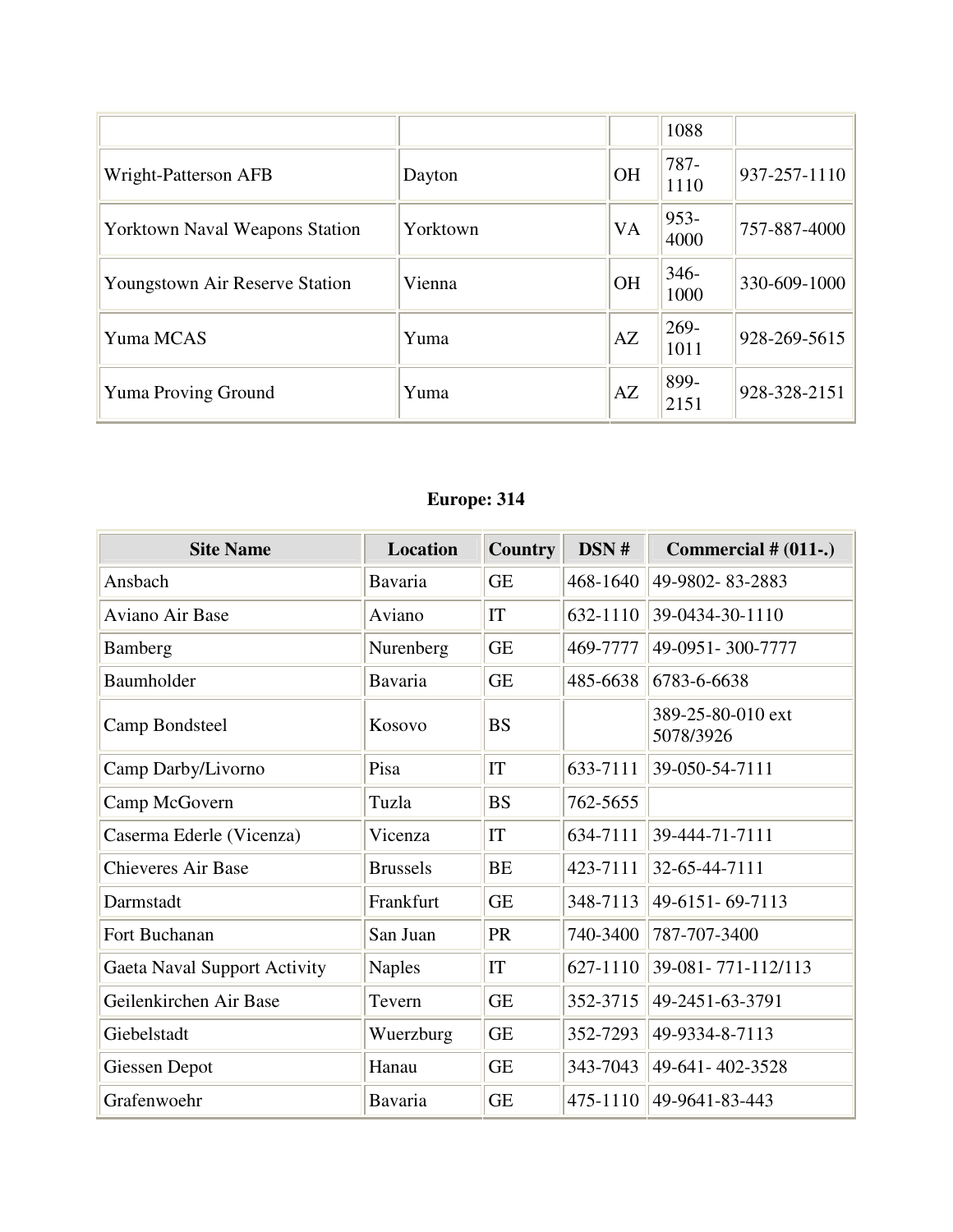|                                       |          |           | 1088            |                    |
|---------------------------------------|----------|-----------|-----------------|--------------------|
| Wright-Patterson AFB                  | Dayton   | <b>OH</b> | 787-<br>1110    | $937 - 257 - 1110$ |
| <b>Yorktown Naval Weapons Station</b> | Yorktown | <b>VA</b> | $953 -$<br>4000 | 757-887-4000       |
| Youngstown Air Reserve Station        | Vienna   | <b>OH</b> | $346-$<br>1000  | 330-609-1000       |
| Yuma MCAS                             | Yuma     | AZ        | 269-<br>1011    | $928 - 269 - 5615$ |
| <b>Yuma Proving Ground</b>            | Yuma     | AZ        | 899-<br>2151    | 928-328-2151       |

## **Europe: 314**

| <b>Site Name</b>             | <b>Location</b> | Country   | DSN #    | Commercial $# (011-.)$         |
|------------------------------|-----------------|-----------|----------|--------------------------------|
| Ansbach                      | Bavaria         | <b>GE</b> | 468-1640 | 49-9802-83-2883                |
| Aviano Air Base              | Aviano          | IT        | 632-1110 | 39-0434-30-1110                |
| Bamberg                      | Nurenberg       | <b>GE</b> | 469-7777 | 49-0951-300-7777               |
| Baumholder                   | Bavaria         | <b>GE</b> | 485-6638 | 6783-6-6638                    |
| Camp Bondsteel               | Kosovo          | <b>BS</b> |          | 389-25-80-010 ext<br>5078/3926 |
| Camp Darby/Livorno           | Pisa            | IT        | 633-7111 | 39-050-54-7111                 |
| Camp McGovern                | Tuzla           | <b>BS</b> | 762-5655 |                                |
| Caserma Ederle (Vicenza)     | Vicenza         | IT        | 634-7111 | 39-444-71-7111                 |
| <b>Chieveres Air Base</b>    | <b>Brussels</b> | <b>BE</b> | 423-7111 | 32-65-44-7111                  |
| Darmstadt                    | Frankfurt       | <b>GE</b> | 348-7113 | 49-6151-69-7113                |
| Fort Buchanan                | San Juan        | PR        | 740-3400 | 787-707-3400                   |
| Gaeta Naval Support Activity | <b>Naples</b>   | IT        | 627-1110 | 39-081-771-112/113             |
| Geilenkirchen Air Base       | Tevern          | <b>GE</b> | 352-3715 | 49-2451-63-3791                |
| Giebelstadt                  | Wuerzburg       | <b>GE</b> | 352-7293 | 49-9334-8-7113                 |
| Giessen Depot                | Hanau           | <b>GE</b> | 343-7043 | 49-641-402-3528                |
| Grafenwoehr                  | Bavaria         | <b>GE</b> | 475-1110 | 49-9641-83-443                 |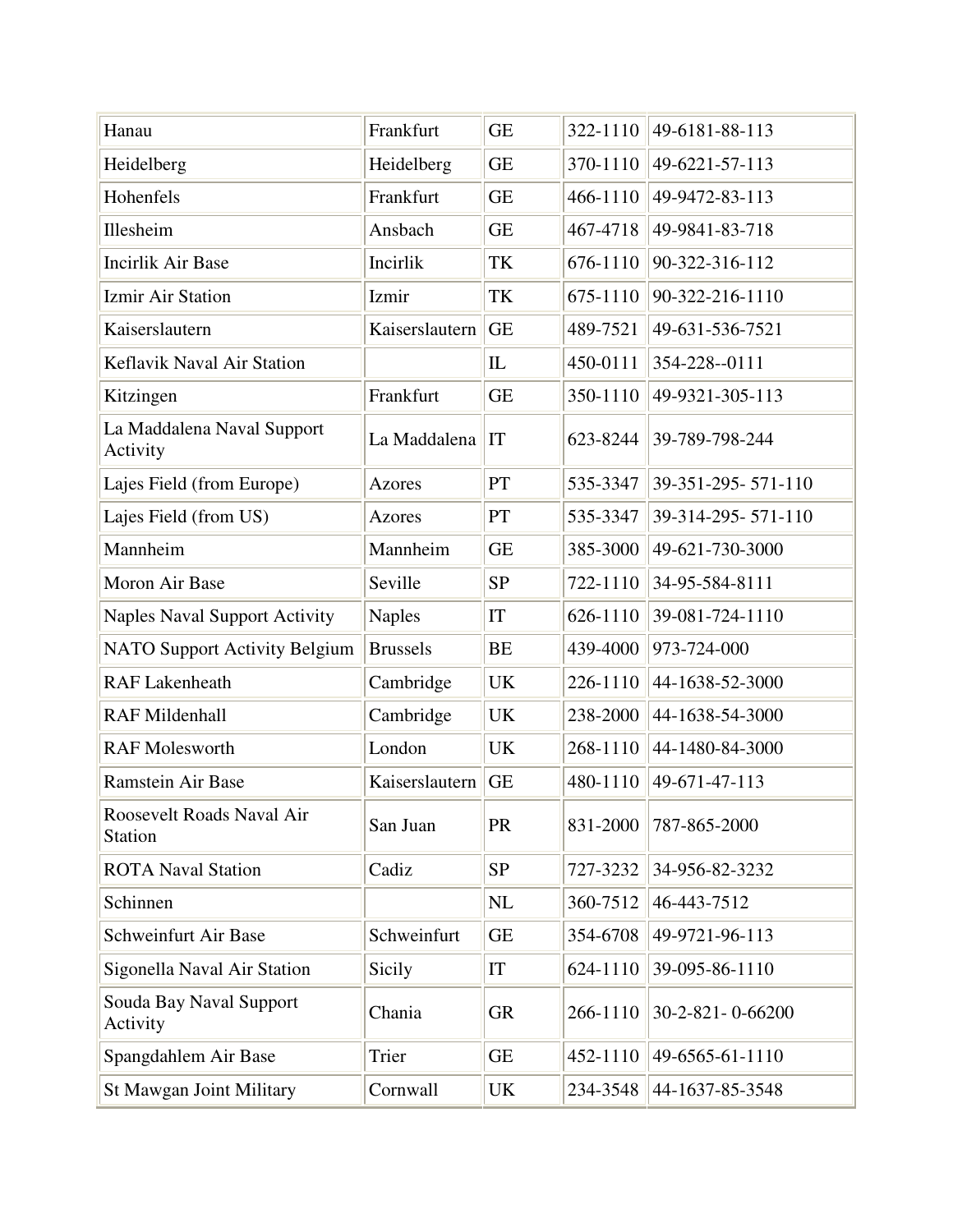| Hanau                                       | Frankfurt       | <b>GE</b> | 322-1110 | 49-6181-88-113     |
|---------------------------------------------|-----------------|-----------|----------|--------------------|
| Heidelberg                                  | Heidelberg      | <b>GE</b> | 370-1110 | 49-6221-57-113     |
| Hohenfels                                   | Frankfurt       | <b>GE</b> | 466-1110 | 49-9472-83-113     |
| Illesheim                                   | Ansbach         | <b>GE</b> | 467-4718 | 49-9841-83-718     |
| <b>Incirlik Air Base</b>                    | Incirlik        | TK        | 676-1110 | 90-322-316-112     |
| <b>Izmir Air Station</b>                    | Izmir           | TK        | 675-1110 | 90-322-216-1110    |
| Kaiserslautern                              | Kaiserslautern  | <b>GE</b> | 489-7521 | 49-631-536-7521    |
| Keflavik Naval Air Station                  |                 | IL        | 450-0111 | 354-228--0111      |
| Kitzingen                                   | Frankfurt       | <b>GE</b> | 350-1110 | 49-9321-305-113    |
| La Maddalena Naval Support<br>Activity      | La Maddalena    | IT        | 623-8244 | 39-789-798-244     |
| Lajes Field (from Europe)                   | <b>Azores</b>   | PT        | 535-3347 | 39-351-295-571-110 |
| Lajes Field (from US)                       | Azores          | PT        | 535-3347 | 39-314-295-571-110 |
| Mannheim                                    | Mannheim        | <b>GE</b> | 385-3000 | 49-621-730-3000    |
| Moron Air Base                              | Seville         | <b>SP</b> | 722-1110 | 34-95-584-8111     |
| <b>Naples Naval Support Activity</b>        | <b>Naples</b>   | IT        | 626-1110 | 39-081-724-1110    |
| <b>NATO Support Activity Belgium</b>        | <b>Brussels</b> | <b>BE</b> | 439-4000 | 973-724-000        |
| <b>RAF Lakenheath</b>                       | Cambridge       | UK        | 226-1110 | 44-1638-52-3000    |
| <b>RAF Mildenhall</b>                       | Cambridge       | UK        | 238-2000 | 44-1638-54-3000    |
| <b>RAF Molesworth</b>                       | London          | <b>UK</b> | 268-1110 | 44-1480-84-3000    |
| Ramstein Air Base                           | Kaiserslautern  | <b>GE</b> | 480-1110 | 49-671-47-113      |
| Roosevelt Roads Naval Air<br><b>Station</b> | San Juan        | PR        | 831-2000 | 787-865-2000       |
| <b>ROTA Naval Station</b>                   | Cadiz           | <b>SP</b> | 727-3232 | 34-956-82-3232     |
| Schinnen                                    |                 | NL        | 360-7512 | 46-443-7512        |
| Schweinfurt Air Base                        | Schweinfurt     | <b>GE</b> | 354-6708 | 49-9721-96-113     |
| Sigonella Naval Air Station                 | Sicily          | IT        | 624-1110 | 39-095-86-1110     |
| Souda Bay Naval Support<br>Activity         | Chania          | <b>GR</b> | 266-1110 | 30-2-821-0-66200   |
| Spangdahlem Air Base                        | Trier           | <b>GE</b> | 452-1110 | 49-6565-61-1110    |
| St Mawgan Joint Military                    | Cornwall        | UK        | 234-3548 | 44-1637-85-3548    |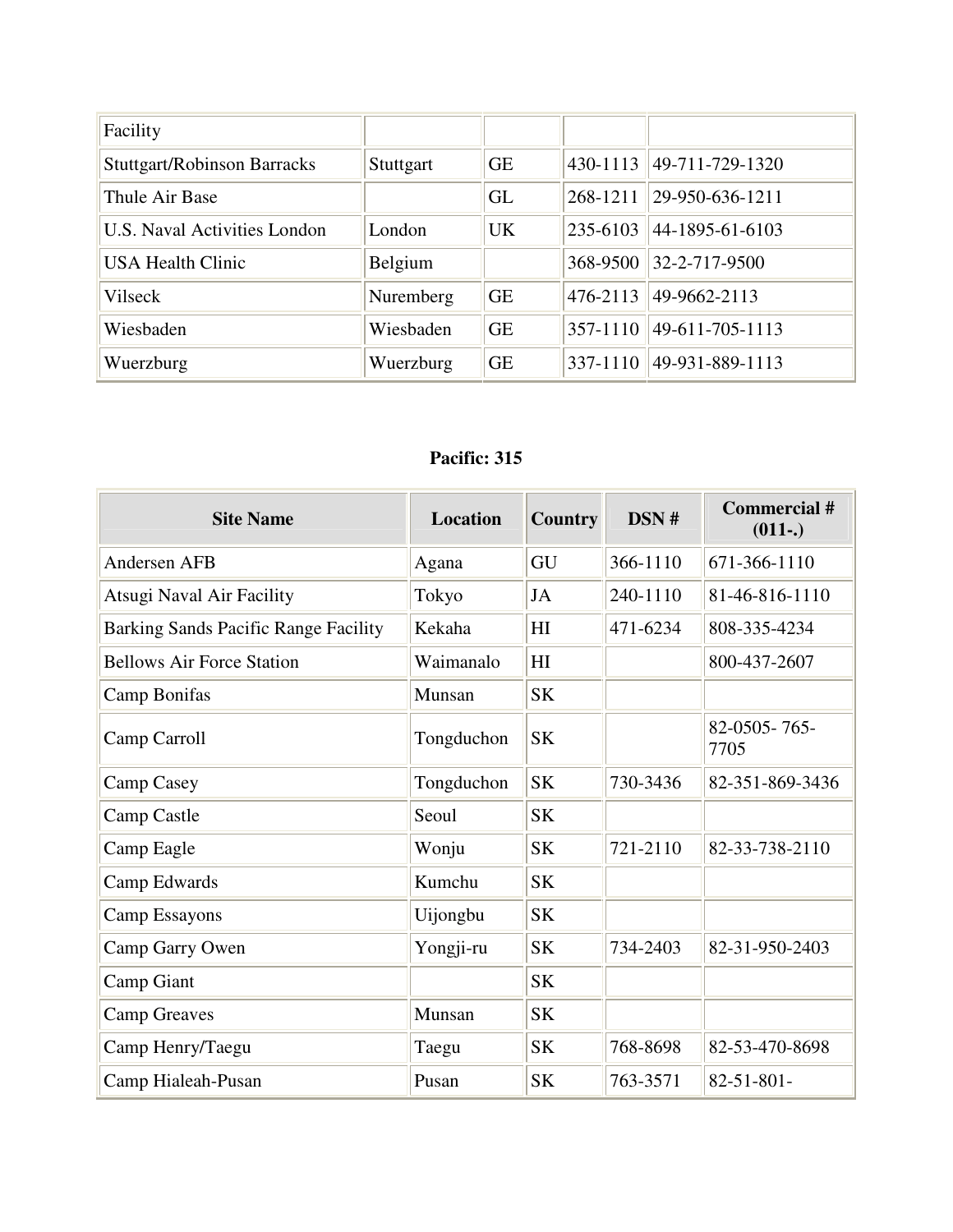| Facility                           |           |           |              |                 |
|------------------------------------|-----------|-----------|--------------|-----------------|
| <b>Stuttgart/Robinson Barracks</b> | Stuttgart | <b>GE</b> | 430-1113     | 49-711-729-1320 |
| Thule Air Base                     |           | GL        | 268-1211     | 29-950-636-1211 |
| U.S. Naval Activities London       | London    | <b>UK</b> | 235-6103     | 44-1895-61-6103 |
| <b>USA Health Clinic</b>           | Belgium   |           | 368-9500     | 32-2-717-9500   |
| Vilseck                            | Nuremberg | <b>GE</b> | 476-2113     | 49-9662-2113    |
| Wiesbaden                          | Wiesbaden | <b>GE</b> | 357-1110     | 49-611-705-1113 |
| Wuerzburg                          | Wuerzburg | <b>GE</b> | $337 - 1110$ | 49-931-889-1113 |

#### **Pacific: 315**

| <b>Site Name</b>                     | Location   | <b>Country</b> | DSN#     | Commercial #<br>$(011-.)$ |
|--------------------------------------|------------|----------------|----------|---------------------------|
| <b>Andersen AFB</b>                  | Agana      | GU             | 366-1110 | 671-366-1110              |
| Atsugi Naval Air Facility            | Tokyo      | JA             | 240-1110 | 81-46-816-1110            |
| Barking Sands Pacific Range Facility | Kekaha     | H              | 471-6234 | 808-335-4234              |
| <b>Bellows Air Force Station</b>     | Waimanalo  | HI             |          | 800-437-2607              |
| Camp Bonifas                         | Munsan     | <b>SK</b>      |          |                           |
| Camp Carroll                         | Tongduchon | <b>SK</b>      |          | 82-0505-765-<br>7705      |
| Camp Casey                           | Tongduchon | <b>SK</b>      | 730-3436 | 82-351-869-3436           |
| Camp Castle                          | Seoul      | <b>SK</b>      |          |                           |
| Camp Eagle                           | Wonju      | <b>SK</b>      | 721-2110 | 82-33-738-2110            |
| Camp Edwards                         | Kumchu     | <b>SK</b>      |          |                           |
| <b>Camp Essayons</b>                 | Uijongbu   | <b>SK</b>      |          |                           |
| Camp Garry Owen                      | Yongji-ru  | <b>SK</b>      | 734-2403 | 82-31-950-2403            |
| Camp Giant                           |            | <b>SK</b>      |          |                           |
| <b>Camp Greaves</b>                  | Munsan     | <b>SK</b>      |          |                           |
| Camp Henry/Taegu                     | Taegu      | <b>SK</b>      | 768-8698 | 82-53-470-8698            |
| Camp Hialeah-Pusan                   | Pusan      | <b>SK</b>      | 763-3571 | $82 - 51 - 801 -$         |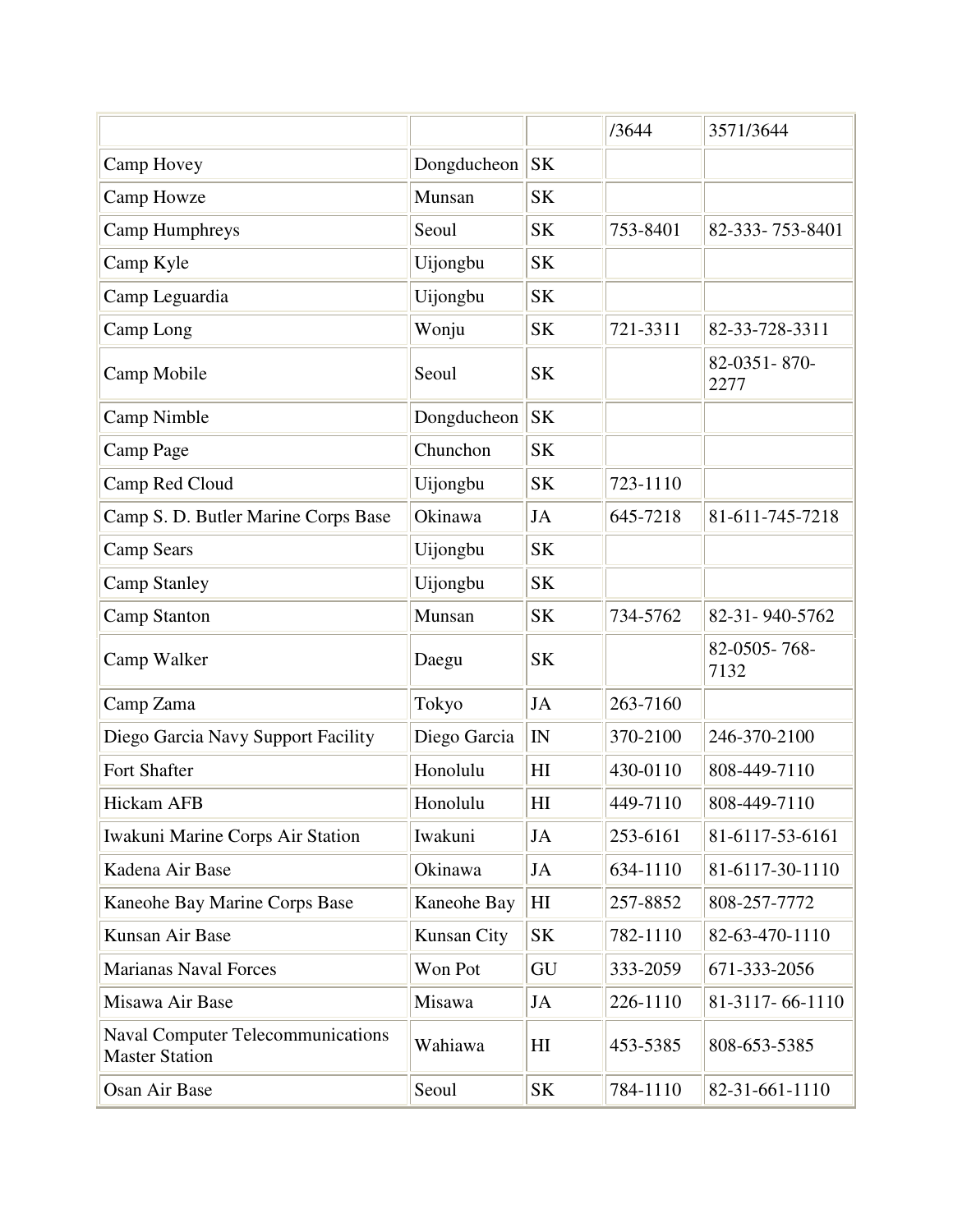|                                                                   |              |                | /3644    | 3571/3644            |
|-------------------------------------------------------------------|--------------|----------------|----------|----------------------|
| Camp Hovey                                                        | Dongducheon  | <b>SK</b>      |          |                      |
| Camp Howze                                                        | Munsan       | <b>SK</b>      |          |                      |
| <b>Camp Humphreys</b>                                             | Seoul        | <b>SK</b>      | 753-8401 | 82-333-753-8401      |
| Camp Kyle                                                         | Uijongbu     | <b>SK</b>      |          |                      |
| Camp Leguardia                                                    | Uijongbu     | <b>SK</b>      |          |                      |
| Camp Long                                                         | Wonju        | <b>SK</b>      | 721-3311 | 82-33-728-3311       |
| Camp Mobile                                                       | Seoul        | <b>SK</b>      |          | 82-0351-870-<br>2277 |
| Camp Nimble                                                       | Dongducheon  | <b>SK</b>      |          |                      |
| Camp Page                                                         | Chunchon     | <b>SK</b>      |          |                      |
| Camp Red Cloud                                                    | Uijongbu     | <b>SK</b>      | 723-1110 |                      |
| Camp S. D. Butler Marine Corps Base                               | Okinawa      | JA             | 645-7218 | 81-611-745-7218      |
| <b>Camp Sears</b>                                                 | Uijongbu     | <b>SK</b>      |          |                      |
| <b>Camp Stanley</b>                                               | Uijongbu     | <b>SK</b>      |          |                      |
| <b>Camp Stanton</b>                                               | Munsan       | <b>SK</b>      | 734-5762 | 82-31-940-5762       |
| Camp Walker                                                       | Daegu        | <b>SK</b>      |          | 82-0505-768-<br>7132 |
| Camp Zama                                                         | Tokyo        | <b>JA</b>      | 263-7160 |                      |
| Diego Garcia Navy Support Facility                                | Diego Garcia | IN             | 370-2100 | 246-370-2100         |
| Fort Shafter                                                      | Honolulu     | H <sub>I</sub> | 430-0110 | 808-449-7110         |
| Hickam AFB                                                        | Honolulu     | HI             | 449-7110 | 808-449-7110         |
| Iwakuni Marine Corps Air Station                                  | Iwakuni      | JA             | 253-6161 | 81-6117-53-6161      |
| Kadena Air Base                                                   | Okinawa      | JA             | 634-1110 | 81-6117-30-1110      |
| Kaneohe Bay Marine Corps Base                                     | Kaneohe Bay  | H <sub>I</sub> | 257-8852 | 808-257-7772         |
| Kunsan Air Base                                                   | Kunsan City  | <b>SK</b>      | 782-1110 | 82-63-470-1110       |
| <b>Marianas Naval Forces</b>                                      | Won Pot      | GU             | 333-2059 | 671-333-2056         |
| Misawa Air Base                                                   | Misawa       | JA             | 226-1110 | 81-3117-66-1110      |
| <b>Naval Computer Telecommunications</b><br><b>Master Station</b> | Wahiawa      | HI             | 453-5385 | 808-653-5385         |
| Osan Air Base                                                     | Seoul        | <b>SK</b>      | 784-1110 | 82-31-661-1110       |